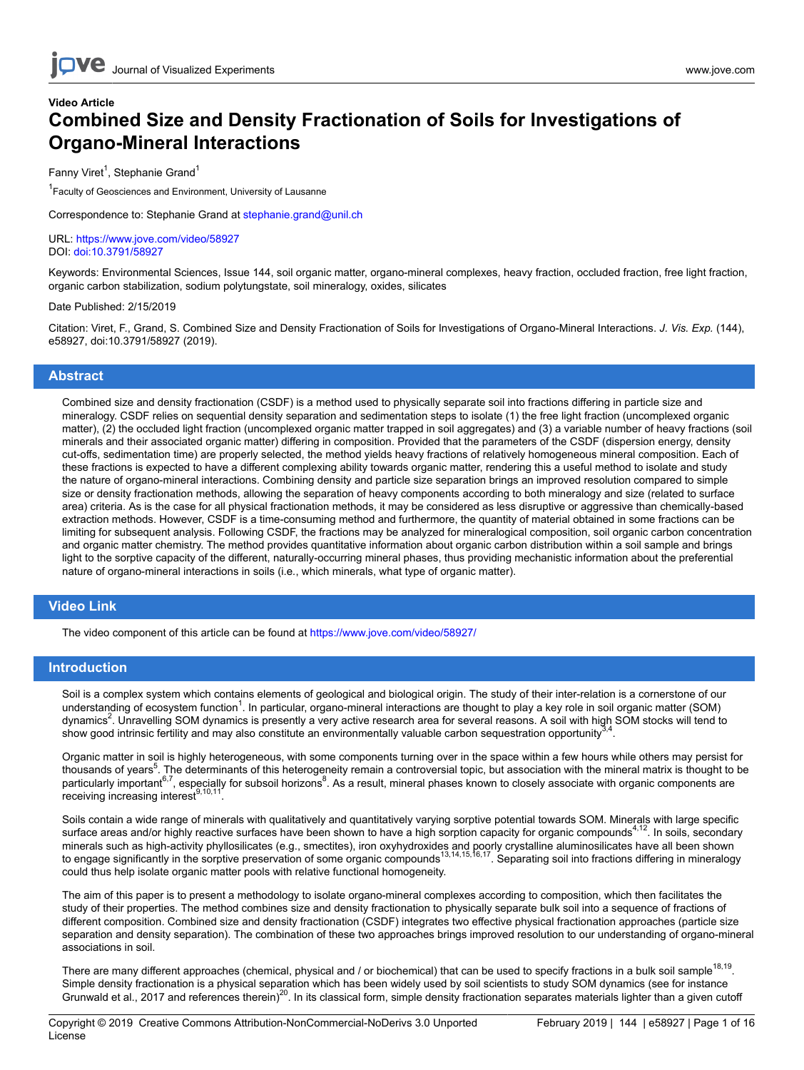# **Video Article Combined Size and Density Fractionation of Soils for Investigations of Organo-Mineral Interactions**

#### Fanny Viret<sup>1</sup>, Stephanie Grand<sup>1</sup>

<sup>1</sup> Faculty of Geosciences and Environment, University of Lausanne

Correspondence to: Stephanie Grand at [stephanie.grand@unil.ch](mailto:stephanie.grand@unil.ch)

URL:<https://www.jove.com/video/58927> DOI: [doi:10.3791/58927](http://dx.doi.org/10.3791/58927)

Keywords: Environmental Sciences, Issue 144, soil organic matter, organo-mineral complexes, heavy fraction, occluded fraction, free light fraction, organic carbon stabilization, sodium polytungstate, soil mineralogy, oxides, silicates

#### Date Published: 2/15/2019

Citation: Viret, F., Grand, S. Combined Size and Density Fractionation of Soils for Investigations of Organo-Mineral Interactions. *J. Vis. Exp.* (144), e58927, doi:10.3791/58927 (2019).

#### **Abstract**

Combined size and density fractionation (CSDF) is a method used to physically separate soil into fractions differing in particle size and mineralogy. CSDF relies on sequential density separation and sedimentation steps to isolate (1) the free light fraction (uncomplexed organic matter), (2) the occluded light fraction (uncomplexed organic matter trapped in soil aggregates) and (3) a variable number of heavy fractions (soil minerals and their associated organic matter) differing in composition. Provided that the parameters of the CSDF (dispersion energy, density cut-offs, sedimentation time) are properly selected, the method yields heavy fractions of relatively homogeneous mineral composition. Each of these fractions is expected to have a different complexing ability towards organic matter, rendering this a useful method to isolate and study the nature of organo-mineral interactions. Combining density and particle size separation brings an improved resolution compared to simple size or density fractionation methods, allowing the separation of heavy components according to both mineralogy and size (related to surface area) criteria. As is the case for all physical fractionation methods, it may be considered as less disruptive or aggressive than chemically-based extraction methods. However, CSDF is a time-consuming method and furthermore, the quantity of material obtained in some fractions can be limiting for subsequent analysis. Following CSDF, the fractions may be analyzed for mineralogical composition, soil organic carbon concentration and organic matter chemistry. The method provides quantitative information about organic carbon distribution within a soil sample and brings light to the sorptive capacity of the different, naturally-occurring mineral phases, thus providing mechanistic information about the preferential nature of organo-mineral interactions in soils (i.e*.*, which minerals, what type of organic matter).

# **Video Link**

The video component of this article can be found at <https://www.jove.com/video/58927/>

# **Introduction**

Soil is a complex system which contains elements of geological and biological origin. The study of their inter-relation is a cornerstone of our understanding of ecosystem function<sup>1</sup>. In particular, organo-mineral interactions are thought to play a key role in soil organic matter (SOM) dynamics<sup>2</sup>. Unravelling SOM dynamics is presently a very active research area for several reasons. A soil with high SOM stocks will tend to show good intrinsic fertility and may also constitute an environmentally valuable carbon sequestration opportunity .

Organic matter in soil is highly heterogeneous, with some components turning over in the space within a few hours while others may persist for thousands of years<sup>5</sup>. The determinants of this heterogeneity remain a controversial topic, but association with the mineral matrix is thought to be<br>particularly important<sup>6,7</sup>, especially for subsoil horizons<sup>8</sup>. As a res

Soils contain a wide range of minerals with qualitatively and quantitatively varying sorptive potential towards SOM. Minerals with large specific surface areas and/or highly reactive surfaces have been shown to have a high sorption capacity for organic compounds<sup>4,12</sup>. In soils, secondary minerals such as high-activity phyllosilicates (e.g., smectites), iron oxyhydroxides and poorly crystalline aluminosilicates have all been shown<br>to engage significantly in the sorptive preservation of some organic compound could thus help isolate organic matter pools with relative functional homogeneity.

The aim of this paper is to present a methodology to isolate organo-mineral complexes according to composition, which then facilitates the study of their properties. The method combines size and density fractionation to physically separate bulk soil into a sequence of fractions of different composition. Combined size and density fractionation (CSDF) integrates two effective physical fractionation approaches (particle size separation and density separation). The combination of these two approaches brings improved resolution to our understanding of organo-mineral associations in soil.

There are many different approaches (chemical, physical and / or biochemical) that can be used to specify fractions in a bulk soil sample<sup>18,19</sup>. Simple density fractionation is a physical separation which has been widely used by soil scientists to study SOM dynamics (see for instance Grunwald et al., 2017 and references therein)<sup>20</sup>. In its classical form, simple density fractionation separates materials lighter than a given cutoff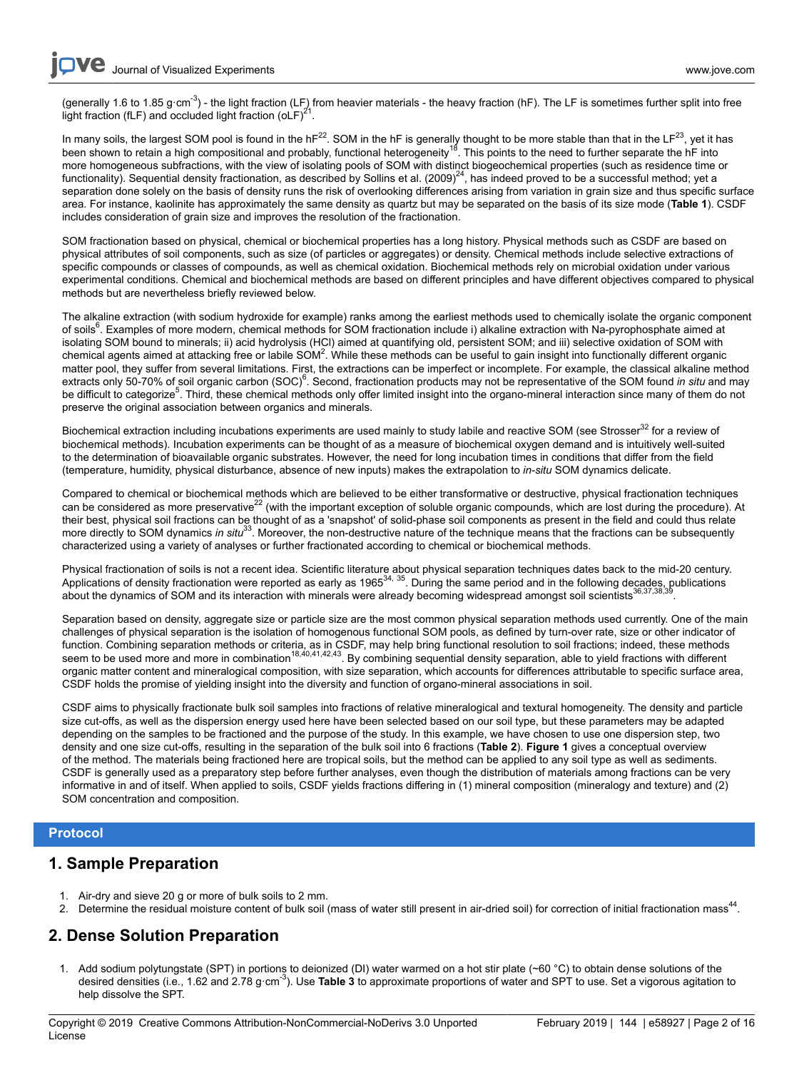**Ove** Journal of Visualized [Experiments](https://www.jove.com) [www.jove.com](https://www.jove.com)

(generally 1.6 to 1.85 g·cm<sup>-3</sup>) - the light fraction (LF) from heavier materials - the heavy fraction (hF). The LF is sometimes further split into free light fraction (fLF) and occluded light fraction (oLF) $^{21}$ .

In many soils, the largest SOM pool is found in the hF<sup>22</sup>. SOM in the hF is generally thought to be more stable than that in the LF<sup>23</sup>, yet it has been shown to retain a high compositional and probably, functional heterogeneity<sup>18</sup>. This points to the need to further separate the hF into more homogeneous subfractions, with the view of isolating pools of SOM with distinct biogeochemical properties (such as residence time or<br>functionality). Sequential density fractionation, as described by Sollins et al. (20 separation done solely on the basis of density runs the risk of overlooking differences arising from variation in grain size and thus specific surface area. For instance, kaolinite has approximately the same density as quartz but may be separated on the basis of its size mode (**Table 1**). CSDF includes consideration of grain size and improves the resolution of the fractionation.

SOM fractionation based on physical, chemical or biochemical properties has a long history. Physical methods such as CSDF are based on physical attributes of soil components, such as size (of particles or aggregates) or density. Chemical methods include selective extractions of specific compounds or classes of compounds, as well as chemical oxidation. Biochemical methods rely on microbial oxidation under various experimental conditions. Chemical and biochemical methods are based on different principles and have different objectives compared to physical methods but are nevertheless briefly reviewed below.

The alkaline extraction (with sodium hydroxide for example) ranks among the earliest methods used to chemically isolate the organic component of soils<sup>6</sup>. Examples of more modern, chemical methods for SOM fractionation include i) alkaline extraction with Na-pyrophosphate aimed at isolating SOM bound to minerals; ii) acid hydrolysis (HCl) aimed at quantifying old, persistent SOM; and iii) selective oxidation of SOM with chemical agents aimed at attacking free or labile SOM<sup>2</sup>. While these methods can be useful to gain insight into functionally different organic matter pool, they suffer from several limitations. First, the extractions can be imperfect or incomplete. For example, the classical alkaline method extracts only 50-70% of soil organic carbon (SOC)<sup>6</sup>. Second, fractionation products may not be representative of the SOM found *in situ* and may be difficult to categorize<sup>5</sup>. Third, these chemical methods only offer limited insight into the organo-mineral interaction since many of them do not preserve the original association between organics and minerals.

Biochemical extraction including incubations experiments are used mainly to study labile and reactive SOM (see Strosser<sup>32</sup> for a review of biochemical methods). Incubation experiments can be thought of as a measure of biochemical oxygen demand and is intuitively well-suited to the determination of bioavailable organic substrates. However, the need for long incubation times in conditions that differ from the field (temperature, humidity, physical disturbance, absence of new inputs) makes the extrapolation to *in-situ* SOM dynamics delicate.

Compared to chemical or biochemical methods which are believed to be either transformative or destructive, physical fractionation techniques can be considered as more preservative<sup>22</sup> (with the important exception of soluble organic compounds, which are lost during the procedure). At their best, physical soil fractions can be thought of as a 'snapshot' of solid-phase soil components as present in the field and could thus relate more directly to SOM dynamics in situ<sup>33</sup>. Moreover, the non-destructive nature of the technique means that the fractions can be subsequently characterized using a variety of analyses or further fractionated according to chemical or biochemical methods.

Physical fractionation of soils is not a recent idea. Scientific literature about physical separation techniques dates back to the mid-20 century.<br>Applications of density fractionation were reported as early as 1965<sup>34, 35</sup> about the dynamics of SOM and its interaction with minerals were already becoming widespread amongst soil scientists<sup>36,3</sup> .

Separation based on density, aggregate size or particle size are the most common physical separation methods used currently. One of the main challenges of physical separation is the isolation of homogenous functional SOM pools, as defined by turn-over rate, size or other indicator of function. Combining separation methods or criteria, as in CSDF, may help bring functional resolution to soil fractions; indeed, these methods<br>seem to be used more and more in combination<sup>18,40,41,42,43</sup>. By combining seque organic matter content and mineralogical composition, with size separation, which accounts for differences attributable to specific surface area, CSDF holds the promise of yielding insight into the diversity and function of organo-mineral associations in soil.

CSDF aims to physically fractionate bulk soil samples into fractions of relative mineralogical and textural homogeneity. The density and particle size cut-offs, as well as the dispersion energy used here have been selected based on our soil type, but these parameters may be adapted depending on the samples to be fractioned and the purpose of the study. In this example, we have chosen to use one dispersion step, two density and one size cut-offs, resulting in the separation of the bulk soil into 6 fractions (**Table 2**). **Figure 1** gives a conceptual overview of the method. The materials being fractioned here are tropical soils, but the method can be applied to any soil type as well as sediments. CSDF is generally used as a preparatory step before further analyses, even though the distribution of materials among fractions can be very informative in and of itself. When applied to soils, CSDF yields fractions differing in (1) mineral composition (mineralogy and texture) and (2) SOM concentration and composition.

# **Protocol**

# **1. Sample Preparation**

- 1. Air-dry and sieve 20 g or more of bulk soils to 2 mm.
- 2. Determine the residual moisture content of bulk soil (mass of water still present in air-dried soil) for correction of initial fractionation mass<sup>44</sup>.

# **2. Dense Solution Preparation**

1. Add sodium polytungstate (SPT) in portions to deionized (DI) water warmed on a hot stir plate (~60 °C) to obtain dense solutions of the desired densities (i.e*.*, 1.62 and 2.78 g·cm-3). Use **Table 3** to approximate proportions of water and SPT to use. Set a vigorous agitation to help dissolve the SPT.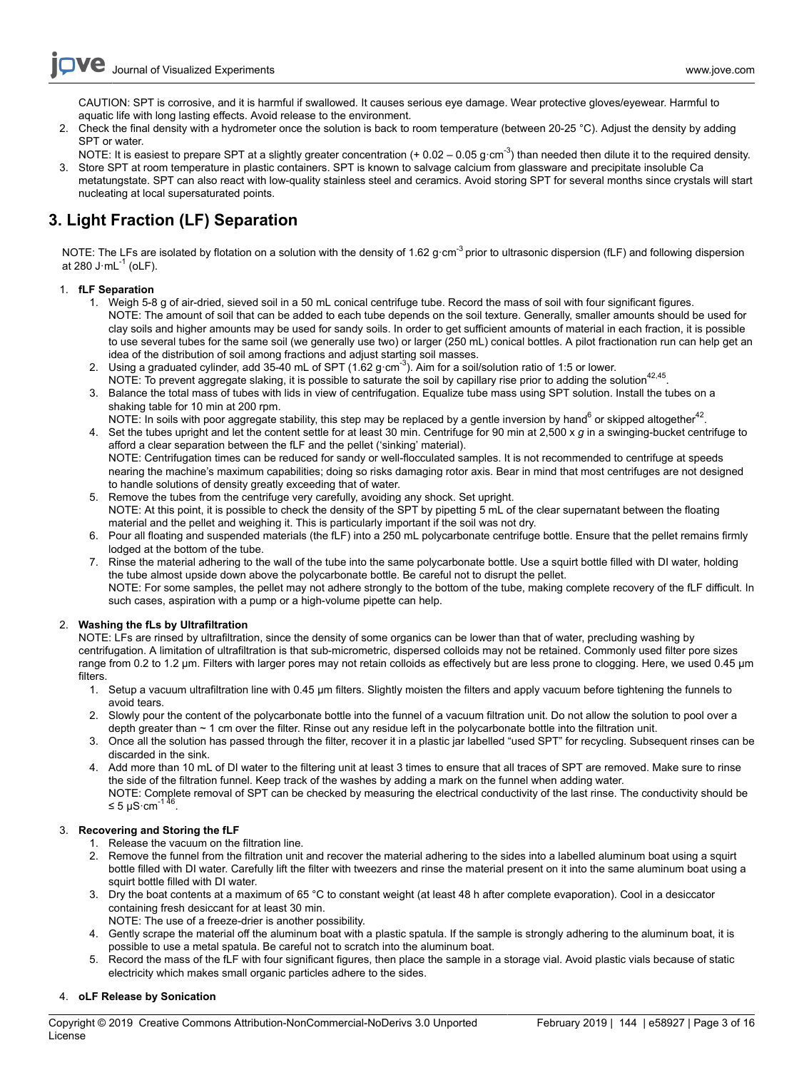CAUTION: SPT is corrosive, and it is harmful if swallowed. It causes serious eye damage. Wear protective gloves/eyewear. Harmful to aquatic life with long lasting effects. Avoid release to the environment.

- 2. Check the final density with a hydrometer once the solution is back to room temperature (between 20-25 °C). Adjust the density by adding SPT or water.
- NOTE: It is easiest to prepare SPT at a slightly greater concentration (+ 0.02 0.05 g·cm<sup>-3</sup>) than needed then dilute it to the required density. 3. Store SPT at room temperature in plastic containers. SPT is known to salvage calcium from glassware and precipitate insoluble Ca
- metatungstate. SPT can also react with low-quality stainless steel and ceramics. Avoid storing SPT for several months since crystals will start nucleating at local supersaturated points.

# **3. Light Fraction (LF) Separation**

NOTE: The LFs are isolated by flotation on a solution with the density of 1.62 g·cm<sup>-3</sup> prior to ultrasonic dispersion (fLF) and following dispersion at 280 J $\cdot$ mL $^{-1}$  (oLF).

# 1. **fLF Separation**

- 1. Weigh 5-8 g of air-dried, sieved soil in a 50 mL conical centrifuge tube. Record the mass of soil with four significant figures. NOTE: The amount of soil that can be added to each tube depends on the soil texture. Generally, smaller amounts should be used for clay soils and higher amounts may be used for sandy soils. In order to get sufficient amounts of material in each fraction, it is possible to use several tubes for the same soil (we generally use two) or larger (250 mL) conical bottles. A pilot fractionation run can help get an idea of the distribution of soil among fractions and adjust starting soil masses.
- 2. Using a graduated cylinder, add 35-40 mL of SPT (1.62 g·cm<sup>-3</sup>). Aim for a soil/solution ratio of 1:5 or lower. NOTE: To prevent aggregate slaking, it is possible to saturate the soil by capillary rise prior to adding the solution<sup>42,45</sup>.
- 3. Balance the total mass of tubes with lids in view of centrifugation. Equalize tube mass using SPT solution. Install the tubes on a shaking table for 10 min at 200 rpm.
- NOTE: In soils with poor aggregate stability, this step may be replaced by a gentle inversion by hand<sup>6</sup> or skipped altogether<sup>42</sup>. 4. Set the tubes upright and let the content settle for at least 30 min. Centrifuge for 90 min at 2,500 x *g* in a swinging-bucket centrifuge to afford a clear separation between the fLF and the pellet ('sinking' material). NOTE: Centrifugation times can be reduced for sandy or well-flocculated samples. It is not recommended to centrifuge at speeds nearing the machine's maximum capabilities; doing so risks damaging rotor axis. Bear in mind that most centrifuges are not designed
- to handle solutions of density greatly exceeding that of water. 5. Remove the tubes from the centrifuge very carefully, avoiding any shock. Set upright. NOTE: At this point, it is possible to check the density of the SPT by pipetting 5 mL of the clear supernatant between the floating material and the pellet and weighing it. This is particularly important if the soil was not dry.
- 6. Pour all floating and suspended materials (the fLF) into a 250 mL polycarbonate centrifuge bottle. Ensure that the pellet remains firmly lodged at the bottom of the tube.
- 7. Rinse the material adhering to the wall of the tube into the same polycarbonate bottle. Use a squirt bottle filled with DI water, holding the tube almost upside down above the polycarbonate bottle. Be careful not to disrupt the pellet. NOTE: For some samples, the pellet may not adhere strongly to the bottom of the tube, making complete recovery of the fLF difficult. In such cases, aspiration with a pump or a high-volume pipette can help.

# 2. **Washing the fLs by Ultrafiltration**

NOTE: LFs are rinsed by ultrafiltration, since the density of some organics can be lower than that of water, precluding washing by centrifugation. A limitation of ultrafiltration is that sub-micrometric, dispersed colloids may not be retained. Commonly used filter pore sizes range from 0.2 to 1.2 μm. Filters with larger pores may not retain colloids as effectively but are less prone to clogging. Here, we used 0.45 μm filters.

- 1. Setup a vacuum ultrafiltration line with 0.45 μm filters. Slightly moisten the filters and apply vacuum before tightening the funnels to avoid tears.
- 2. Slowly pour the content of the polycarbonate bottle into the funnel of a vacuum filtration unit. Do not allow the solution to pool over a depth greater than ~ 1 cm over the filter. Rinse out any residue left in the polycarbonate bottle into the filtration unit.
- 3. Once all the solution has passed through the filter, recover it in a plastic jar labelled "used SPT" for recycling. Subsequent rinses can be discarded in the sink.
- 4. Add more than 10 mL of DI water to the filtering unit at least 3 times to ensure that all traces of SPT are removed. Make sure to rinse the side of the filtration funnel. Keep track of the washes by adding a mark on the funnel when adding water. NOTE: Complete removal of SPT can be checked by measuring the electrical conductivity of the last rinse. The conductivity should be<br>≤ 5 μS·cm<sup>-1 46</sup>.

# 3. **Recovering and Storing the fLF**

- 1. Release the vacuum on the filtration line.
- 2. Remove the funnel from the filtration unit and recover the material adhering to the sides into a labelled aluminum boat using a squirt bottle filled with DI water. Carefully lift the filter with tweezers and rinse the material present on it into the same aluminum boat using a squirt bottle filled with DI water.
- 3. Dry the boat contents at a maximum of 65 °C to constant weight (at least 48 h after complete evaporation). Cool in a desiccator containing fresh desiccant for at least 30 min.
- NOTE: The use of a freeze-drier is another possibility.
- 4. Gently scrape the material off the aluminum boat with a plastic spatula. If the sample is strongly adhering to the aluminum boat, it is possible to use a metal spatula. Be careful not to scratch into the aluminum boat.
- 5. Record the mass of the fLF with four significant figures, then place the sample in a storage vial. Avoid plastic vials because of static electricity which makes small organic particles adhere to the sides.

# 4. **oLF Release by Sonication**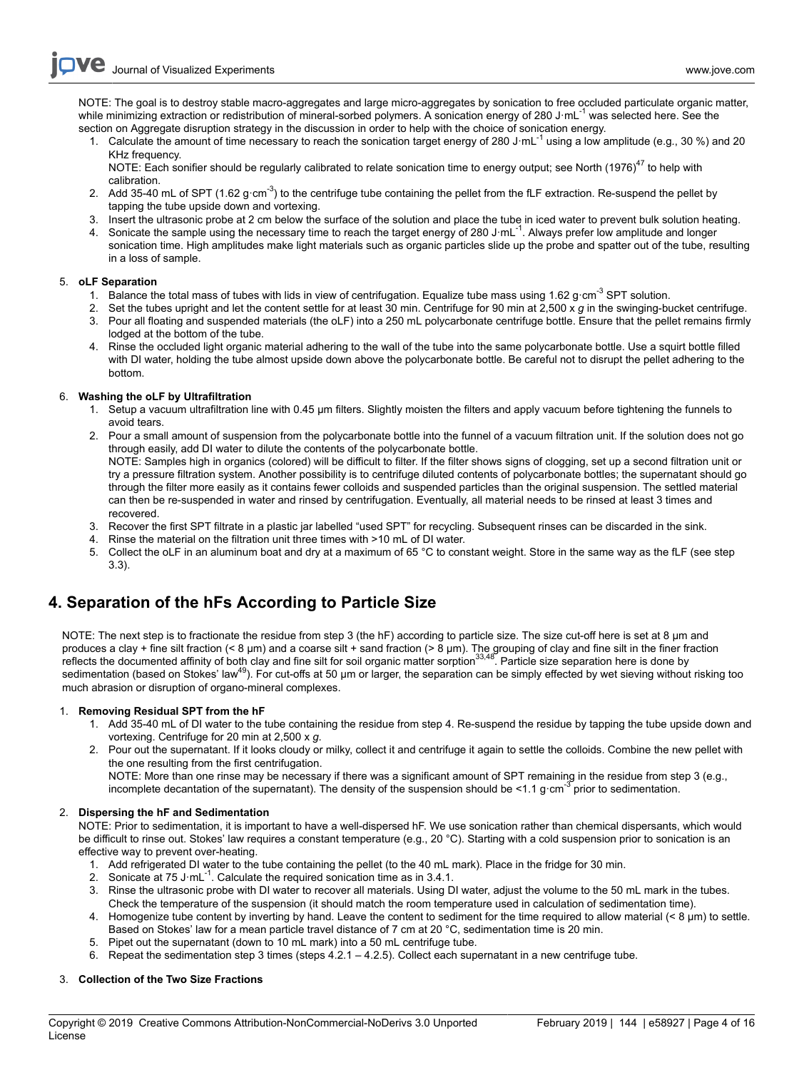NOTE: The goal is to destroy stable macro-aggregates and large micro-aggregates by sonication to free occluded particulate organic matter, while minimizing extraction or redistribution of mineral-sorbed polymers. A sonication energy of 280 J·mL<sup>-1</sup> was selected here. See the section on Aggregate disruption strategy in the discussion in order to help with the choice of sonication energy.

1. Calculate the amount of time necessary to reach the sonication target energy of 280 J·mL-1 using a low amplitude (e.g*.*, 30 %) and 20 KHz frequency.

NOTE: Each sonifier should be regularly calibrated to relate sonication time to energy output; see North (1976) $^{47}$  to help with calibration.

- 2. Add 35-40 mL of SPT (1.62 g·cm<sup>-3</sup>) to the centrifuge tube containing the pellet from the fLF extraction. Re-suspend the pellet by tapping the tube upside down and vortexing.
- 3. Insert the ultrasonic probe at 2 cm below the surface of the solution and place the tube in iced water to prevent bulk solution heating.
- 4. Sonicate the sample using the necessary time to reach the target energy of 280 J·mL<sup>-1</sup>. Always prefer low amplitude and longer sonication time. High amplitudes make light materials such as organic particles slide up the probe and spatter out of the tube, resulting in a loss of sample.

#### 5. **oLF Separation**

- 1. Balance the total mass of tubes with lids in view of centrifugation. Equalize tube mass using  $1.62$  g·cm<sup>-3</sup> SPT solution.
- 2. Set the tubes upright and let the content settle for at least 30 min. Centrifuge for 90 min at 2,500 x *g* in the swinging-bucket centrifuge. 3. Pour all floating and suspended materials (the oLF) into a 250 mL polycarbonate centrifuge bottle. Ensure that the pellet remains firmly lodged at the bottom of the tube.
- 4. Rinse the occluded light organic material adhering to the wall of the tube into the same polycarbonate bottle. Use a squirt bottle filled with DI water, holding the tube almost upside down above the polycarbonate bottle. Be careful not to disrupt the pellet adhering to the bottom.

#### 6. **Washing the oLF by Ultrafiltration**

- 1. Setup a vacuum ultrafiltration line with 0.45 μm filters. Slightly moisten the filters and apply vacuum before tightening the funnels to avoid tears.
- 2. Pour a small amount of suspension from the polycarbonate bottle into the funnel of a vacuum filtration unit. If the solution does not go through easily, add DI water to dilute the contents of the polycarbonate bottle.
	- NOTE: Samples high in organics (colored) will be difficult to filter. If the filter shows signs of clogging, set up a second filtration unit or try a pressure filtration system. Another possibility is to centrifuge diluted contents of polycarbonate bottles; the supernatant should go through the filter more easily as it contains fewer colloids and suspended particles than the original suspension. The settled material can then be re-suspended in water and rinsed by centrifugation. Eventually, all material needs to be rinsed at least 3 times and recovered.
- 3. Recover the first SPT filtrate in a plastic jar labelled "used SPT" for recycling. Subsequent rinses can be discarded in the sink.
- 4. Rinse the material on the filtration unit three times with >10 mL of DI water.
- 5. Collect the oLF in an aluminum boat and dry at a maximum of 65 °C to constant weight. Store in the same way as the fLF (see step 3.3).

# **4. Separation of the hFs According to Particle Size**

NOTE: The next step is to fractionate the residue from step 3 (the hF) according to particle size. The size cut-off here is set at 8 µm and produces a clay + fine silt fraction (< 8 µm) and a coarse silt + sand fraction (> 8 µm). The grouping of clay and fine silt in the finer fraction reflects the documented affinity of both clay and fine silt for soil organic matter sorption<sup>33,48</sup>. Particle size separation here is done by sedimentation (based on Stokes' law<sup>49</sup>). For cut-offs at 50  $\mu$ m or larger, the separation can be simply effected by wet sieving without risking too much abrasion or disruption of organo-mineral complexes.

#### 1. **Removing Residual SPT from the hF**

- 1. Add 35-40 mL of DI water to the tube containing the residue from step 4. Re-suspend the residue by tapping the tube upside down and vortexing. Centrifuge for 20 min at 2,500 x *g*.
- 2. Pour out the supernatant. If it looks cloudy or milky, collect it and centrifuge it again to settle the colloids. Combine the new pellet with the one resulting from the first centrifugation.

NOTE: More than one rinse may be necessary if there was a significant amount of SPT remaining in the residue from step 3 (e.g., incomplete decantation of the supernatant). The density of the suspension should be  $\leq 1.1$  g·cm<sup>-3</sup> prior to sedimentation.

#### 2. **Dispersing the hF and Sedimentation**

NOTE: Prior to sedimentation, it is important to have a well-dispersed hF. We use sonication rather than chemical dispersants, which would be difficult to rinse out. Stokes' law requires a constant temperature (e.g., 20 °C). Starting with a cold suspension prior to sonication is an effective way to prevent over-heating.

- 1. Add refrigerated DI water to the tube containing the pellet (to the 40 mL mark). Place in the fridge for 30 min.
- 2. Sonicate at  $75 \text{ J} \cdot \text{mL}^{-1}$ . Calculate the required sonication time as in 3.4.1.
- 3. Rinse the ultrasonic probe with DI water to recover all materials. Using DI water, adjust the volume to the 50 mL mark in the tubes. Check the temperature of the suspension (it should match the room temperature used in calculation of sedimentation time).
- 4. Homogenize tube content by inverting by hand. Leave the content to sediment for the time required to allow material (< 8 µm) to settle. Based on Stokes' law for a mean particle travel distance of 7 cm at 20 °C, sedimentation time is 20 min.
- 5. Pipet out the supernatant (down to 10 mL mark) into a 50 mL centrifuge tube.
- 6. Repeat the sedimentation step 3 times (steps  $4.2.1 4.2.5$ ). Collect each supernatant in a new centrifuge tube.

# 3. **Collection of the Two Size Fractions**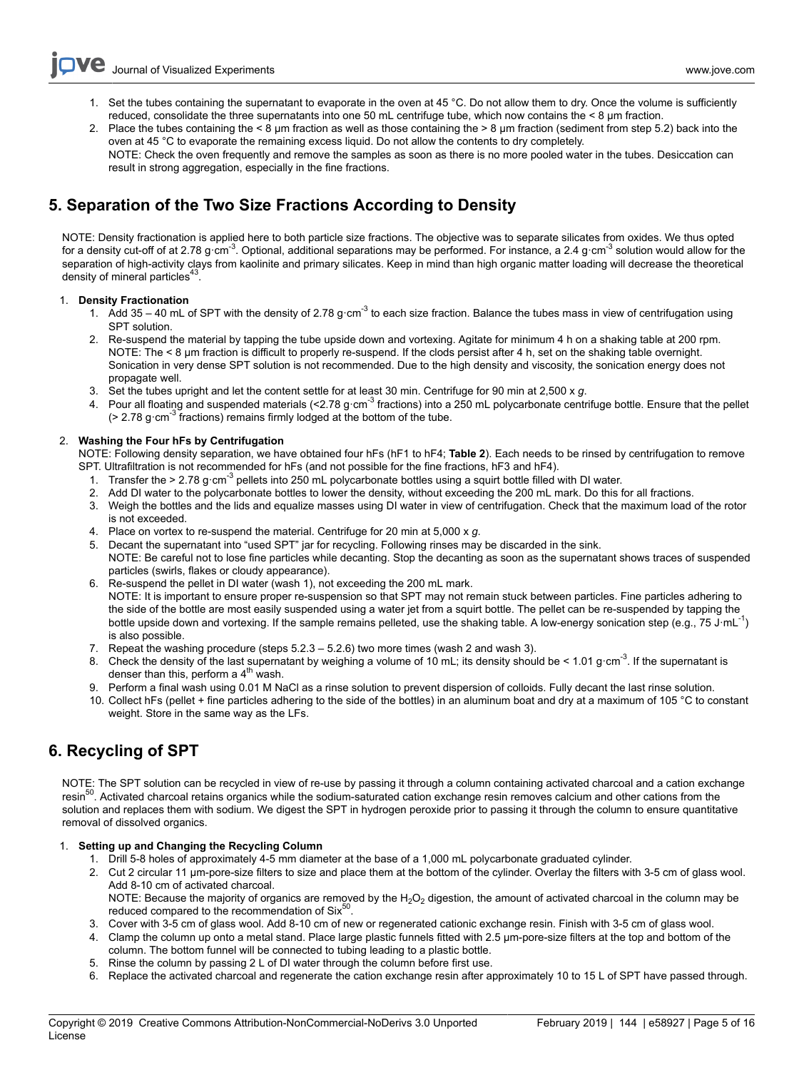Journal of Visualized [Experiments](https://www.jove.com) [www.jove.com](https://www.jove.com)

- 1. Set the tubes containing the supernatant to evaporate in the oven at 45 °C. Do not allow them to dry. Once the volume is sufficiently reduced, consolidate the three supernatants into one 50 mL centrifuge tube, which now contains the < 8 µm fraction.
- 2. Place the tubes containing the  $\lt 8$  µm fraction as well as those containing the  $> 8$  µm fraction (sediment from step 5.2) back into the oven at 45 °C to evaporate the remaining excess liquid. Do not allow the contents to dry completely. NOTE: Check the oven frequently and remove the samples as soon as there is no more pooled water in the tubes. Desiccation can result in strong aggregation, especially in the fine fractions.

# **5. Separation of the Two Size Fractions According to Density**

NOTE: Density fractionation is applied here to both particle size fractions. The objective was to separate silicates from oxides. We thus opted for a density cut-off of at 2.78 g·cm<sup>-3</sup>. Optional, additional separations may be performed. For instance, a 2.4 g·cm<sup>-3</sup> solution would allow for the separation of high-activity clays from kaolinite and primary silicates. Keep in mind than high organic matter loading will decrease the theoretical density of mineral particles<sup>43</sup> .

# 1. **Density Fractionation**

- 1. Add  $35 40$  mL of SPT with the density of 2.78 g·cm<sup>-3</sup> to each size fraction. Balance the tubes mass in view of centrifugation using SPT solution.
- 2. Re-suspend the material by tapping the tube upside down and vortexing. Agitate for minimum 4 h on a shaking table at 200 rpm. NOTE: The < 8 µm fraction is difficult to properly re-suspend. If the clods persist after 4 h, set on the shaking table overnight. Sonication in very dense SPT solution is not recommended. Due to the high density and viscosity, the sonication energy does not propagate well.
- 3. Set the tubes upright and let the content settle for at least 30 min. Centrifuge for 90 min at 2,500 x *g*.
- 4. Pour all floating and suspended materials (<2.78 g·cm<sup>-3</sup> fractions) into a 250 mL polycarbonate centrifuge bottle. Ensure that the pellet ( $> 2.78$  g·cm<sup>-3</sup> fractions) remains firmly lodged at the bottom of the tube.

# 2. **Washing the Four hFs by Centrifugation**

NOTE: Following density separation, we have obtained four hFs (hF1 to hF4; **Table 2**). Each needs to be rinsed by centrifugation to remove SPT. Ultrafiltration is not recommended for hFs (and not possible for the fine fractions, hF3 and hF4).

- 1. Transfer the > 2.78 g·cm<sup>-3</sup> pellets into 250 mL polycarbonate bottles using a squirt bottle filled with DI water.
- 2. Add DI water to the polycarbonate bottles to lower the density, without exceeding the 200 mL mark. Do this for all fractions.
- 3. Weigh the bottles and the lids and equalize masses using DI water in view of centrifugation. Check that the maximum load of the rotor is not exceeded.
- 4. Place on vortex to re-suspend the material. Centrifuge for 20 min at 5,000 x *g*.
- 5. Decant the supernatant into "used SPT" jar for recycling. Following rinses may be discarded in the sink. NOTE: Be careful not to lose fine particles while decanting. Stop the decanting as soon as the supernatant shows traces of suspended particles (swirls, flakes or cloudy appearance).
- 6. Re-suspend the pellet in DI water (wash 1), not exceeding the 200 mL mark. NOTE: It is important to ensure proper re-suspension so that SPT may not remain stuck between particles. Fine particles adhering to the side of the bottle are most easily suspended using a water jet from a squirt bottle. The pellet can be re-suspended by tapping the bottle upside down and vortexing. If the sample remains pelleted, use the shaking table. A low-energy sonication step (e.g., 75 J·mL<sup>-1</sup>) is also possible.
- 7. Repeat the washing procedure (steps 5.2.3 5.2.6) two more times (wash 2 and wash 3).
- 8. Check the density of the last supernatant by weighing a volume of 10 mL; its density should be < 1.01 g·cm<sup>-3</sup>. If the supernatant is denser than this, perform a  $4<sup>th</sup>$  wash.
- 9. Perform a final wash using 0.01 M NaCl as a rinse solution to prevent dispersion of colloids. Fully decant the last rinse solution.
- 10. Collect hFs (pellet + fine particles adhering to the side of the bottles) in an aluminum boat and dry at a maximum of 105 °C to constant weight. Store in the same way as the LFs.

# **6. Recycling of SPT**

NOTE: The SPT solution can be recycled in view of re-use by passing it through a column containing activated charcoal and a cation exchange resin<sup>50</sup>. Activated charcoal retains organics while the sodium-saturated cation exchange resin removes calcium and other cations from the solution and replaces them with sodium. We digest the SPT in hydrogen peroxide prior to passing it through the column to ensure quantitative removal of dissolved organics.

# 1. **Setting up and Changing the Recycling Column**

- 1. Drill 5-8 holes of approximately 4-5 mm diameter at the base of a 1,000 mL polycarbonate graduated cylinder.
	- 2. Cut 2 circular 11 μm-pore-size filters to size and place them at the bottom of the cylinder. Overlay the filters with 3-5 cm of glass wool. Add 8-10 cm of activated charcoal.

NOTE: Because the majority of organics are removed by the  $H_2O_2$  digestion, the amount of activated charcoal in the column may be reduced compared to the recommendation of Six<sup>50</sup>.

- 3. Cover with 3-5 cm of glass wool. Add 8-10 cm of new or regenerated cationic exchange resin. Finish with 3-5 cm of glass wool.
- 4. Clamp the column up onto a metal stand. Place large plastic funnels fitted with 2.5 μm-pore-size filters at the top and bottom of the column. The bottom funnel will be connected to tubing leading to a plastic bottle.
- 5. Rinse the column by passing 2 L of DI water through the column before first use.
- 6. Replace the activated charcoal and regenerate the cation exchange resin after approximately 10 to 15 L of SPT have passed through.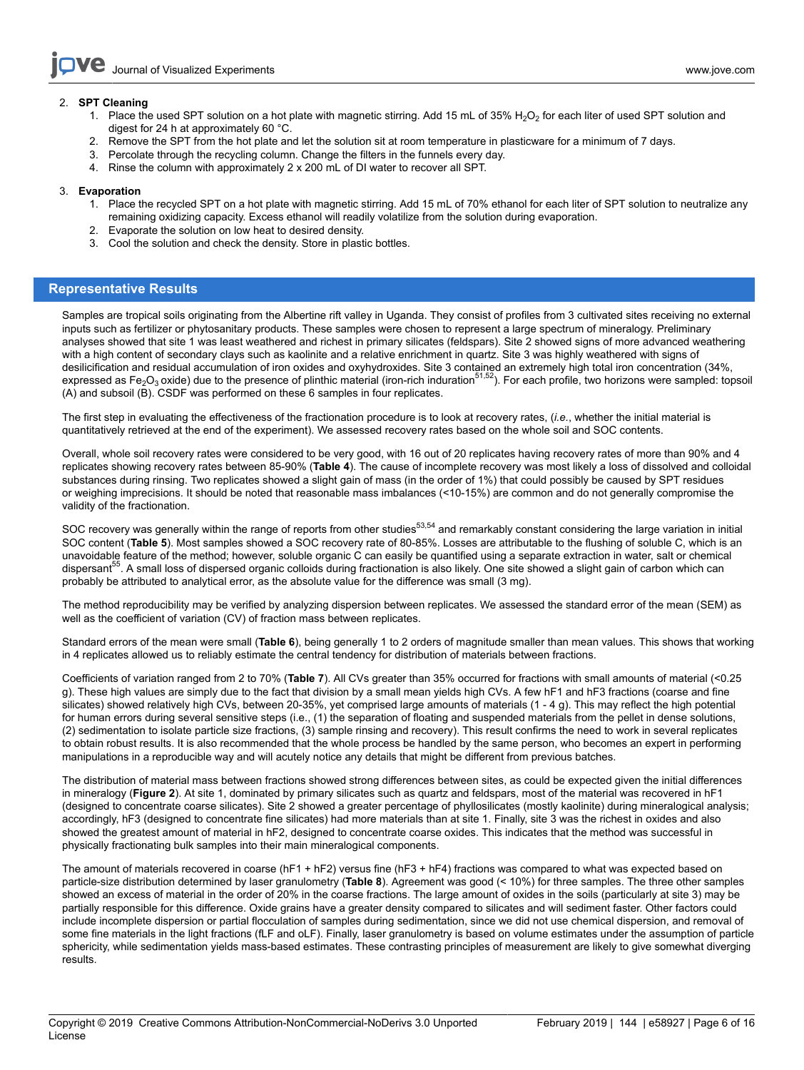#### 2. **SPT Cleaning**

- 1. Place the used SPT solution on a hot plate with magnetic stirring. Add 15 mL of 35% H<sub>2</sub>O<sub>2</sub> for each liter of used SPT solution and digest for 24 h at approximately 60 °C.
- 2. Remove the SPT from the hot plate and let the solution sit at room temperature in plasticware for a minimum of 7 days.
- 3. Percolate through the recycling column. Change the filters in the funnels every day.
- 4. Rinse the column with approximately 2 x 200 mL of DI water to recover all SPT.

#### 3. **Evaporation**

- 1. Place the recycled SPT on a hot plate with magnetic stirring. Add 15 mL of 70% ethanol for each liter of SPT solution to neutralize any remaining oxidizing capacity. Excess ethanol will readily volatilize from the solution during evaporation.
- 2. Evaporate the solution on low heat to desired density.
- 3. Cool the solution and check the density. Store in plastic bottles.

# **Representative Results**

Samples are tropical soils originating from the Albertine rift valley in Uganda. They consist of profiles from 3 cultivated sites receiving no external inputs such as fertilizer or phytosanitary products. These samples were chosen to represent a large spectrum of mineralogy. Preliminary analyses showed that site 1 was least weathered and richest in primary silicates (feldspars). Site 2 showed signs of more advanced weathering with a high content of secondary clays such as kaolinite and a relative enrichment in quartz. Site 3 was highly weathered with signs of desilicification and residual accumulation of iron oxides and oxyhydroxides. Site 3 contained an extremely high total iron concentration (34%, expressed as Fe<sub>2</sub>O<sub>3</sub> oxide) due to the presence of plinthic material (iron-rich induration<sup>51,52</sup>). For each profile, two horizons were sampled: topsoil (A) and subsoil (B). CSDF was performed on these 6 samples in four replicates.

The first step in evaluating the effectiveness of the fractionation procedure is to look at recovery rates, (*i.e.*, whether the initial material is quantitatively retrieved at the end of the experiment). We assessed recovery rates based on the whole soil and SOC contents.

Overall, whole soil recovery rates were considered to be very good, with 16 out of 20 replicates having recovery rates of more than 90% and 4 replicates showing recovery rates between 85-90% (**Table 4**). The cause of incomplete recovery was most likely a loss of dissolved and colloidal substances during rinsing. Two replicates showed a slight gain of mass (in the order of 1%) that could possibly be caused by SPT residues or weighing imprecisions. It should be noted that reasonable mass imbalances (<10-15%) are common and do not generally compromise the validity of the fractionation.

SOC recovery was generally within the range of reports from other studies<sup>53,54</sup> and remarkably constant considering the large variation in initial SOC content (**Table 5**). Most samples showed a SOC recovery rate of 80-85%. Losses are attributable to the flushing of soluble C, which is an unavoidable feature of the method; however, soluble organic C can easily be quantified using a separate extraction in water, salt or chemical dispersant<sup>55</sup>. A small loss of dispersed organic colloids during fractionation is also likely. One site showed a slight gain of carbon which can probably be attributed to analytical error, as the absolute value for the difference was small (3 mg).

The method reproducibility may be verified by analyzing dispersion between replicates. We assessed the standard error of the mean (SEM) as well as the coefficient of variation (CV) of fraction mass between replicates.

Standard errors of the mean were small (**Table 6**), being generally 1 to 2 orders of magnitude smaller than mean values. This shows that working in 4 replicates allowed us to reliably estimate the central tendency for distribution of materials between fractions.

Coefficients of variation ranged from 2 to 70% (**Table 7**). All CVs greater than 35% occurred for fractions with small amounts of material (<0.25 g). These high values are simply due to the fact that division by a small mean yields high CVs. A few hF1 and hF3 fractions (coarse and fine silicates) showed relatively high CVs, between 20-35%, yet comprised large amounts of materials (1 - 4 g). This may reflect the high potential for human errors during several sensitive steps (i.e., (1) the separation of floating and suspended materials from the pellet in dense solutions, (2) sedimentation to isolate particle size fractions, (3) sample rinsing and recovery). This result confirms the need to work in several replicates to obtain robust results. It is also recommended that the whole process be handled by the same person, who becomes an expert in performing manipulations in a reproducible way and will acutely notice any details that might be different from previous batches.

The distribution of material mass between fractions showed strong differences between sites, as could be expected given the initial differences in mineralogy (**Figure 2**). At site 1, dominated by primary silicates such as quartz and feldspars, most of the material was recovered in hF1 (designed to concentrate coarse silicates). Site 2 showed a greater percentage of phyllosilicates (mostly kaolinite) during mineralogical analysis; accordingly, hF3 (designed to concentrate fine silicates) had more materials than at site 1. Finally, site 3 was the richest in oxides and also showed the greatest amount of material in hF2, designed to concentrate coarse oxides. This indicates that the method was successful in physically fractionating bulk samples into their main mineralogical components.

The amount of materials recovered in coarse (hF1 + hF2) versus fine (hF3 + hF4) fractions was compared to what was expected based on particle-size distribution determined by laser granulometry (**Table 8**). Agreement was good (< 10%) for three samples. The three other samples showed an excess of material in the order of 20% in the coarse fractions. The large amount of oxides in the soils (particularly at site 3) may be partially responsible for this difference. Oxide grains have a greater density compared to silicates and will sediment faster. Other factors could include incomplete dispersion or partial flocculation of samples during sedimentation, since we did not use chemical dispersion, and removal of some fine materials in the light fractions (fLF and oLF). Finally, laser granulometry is based on volume estimates under the assumption of particle sphericity, while sedimentation yields mass-based estimates. These contrasting principles of measurement are likely to give somewhat diverging results.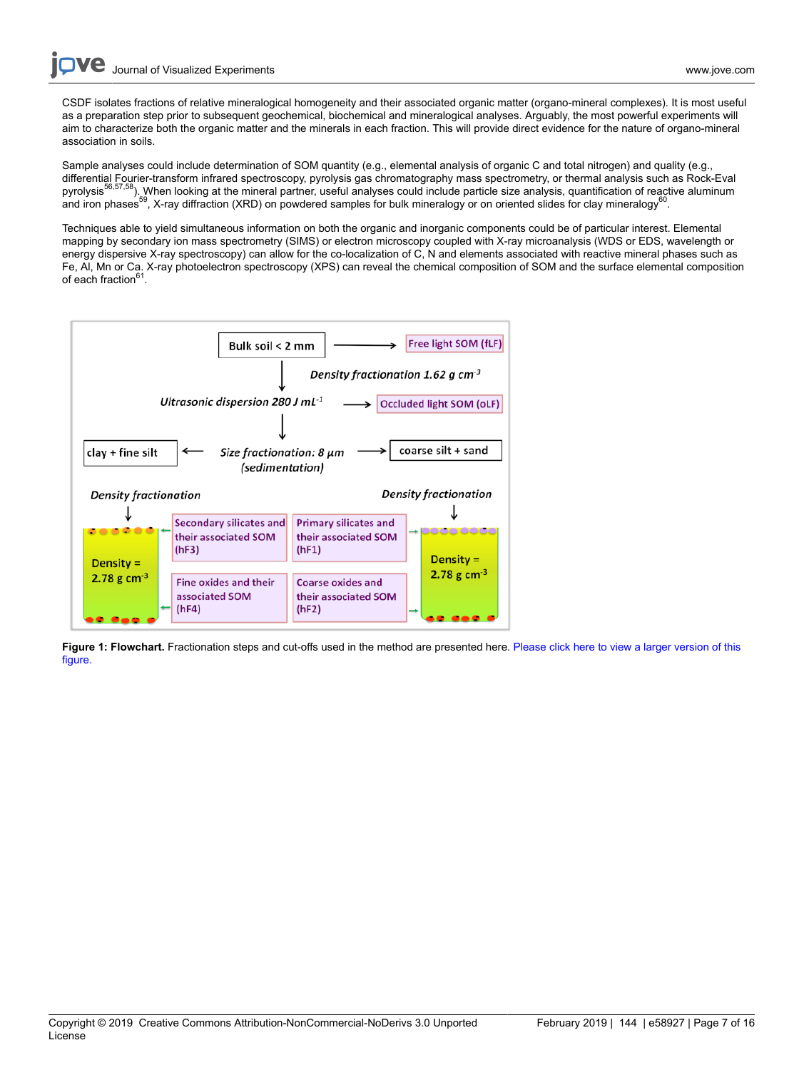CSDF isolates fractions of relative mineralogical homogeneity and their associated organic matter (organo-mineral complexes). It is most useful as a preparation step prior to subsequent geochemical, biochemical and mineralogical analyses. Arguably, the most powerful experiments will aim to characterize both the organic matter and the minerals in each fraction. This will provide direct evidence for the nature of organo-mineral association in soils.

Sample analyses could include determination of SOM quantity (e.g., elemental analysis of organic C and total nitrogen) and quality (e.g., differential Fourier-transform infrared spectroscopy, pyrolysis gas chromatography mass spectrometry, or thermal analysis such as Rock-Eval<br>pyrolysis<sup>56,57,58</sup>). When looking at the mineral partner, useful analyses could i and iron phases<sup>59</sup>, X-ray diffraction (XRD) on powdered samples for bulk mineralogy or on oriented slides for clay mineralogy<sup>60</sup>.

Techniques able to yield simultaneous information on both the organic and inorganic components could be of particular interest. Elemental mapping by secondary ion mass spectrometry (SIMS) or electron microscopy coupled with X-ray microanalysis (WDS or EDS, wavelength or energy dispersive X-ray spectroscopy) can allow for the co-localization of C, N and elements associated with reactive mineral phases such as Fe, Al, Mn or Ca. X-ray photoelectron spectroscopy (XPS) can reveal the chemical composition of SOM and the surface elemental composition of each fraction<sup>61</sup> .



Figure 1: Flowchart. Fractionation steps and cut-offs used in the method are presented here. [Please click here to view a larger version of this](https://www.jove.com/files/ftp_upload/58927/58927fig1large.jpg) [figure.](https://www.jove.com/files/ftp_upload/58927/58927fig1large.jpg)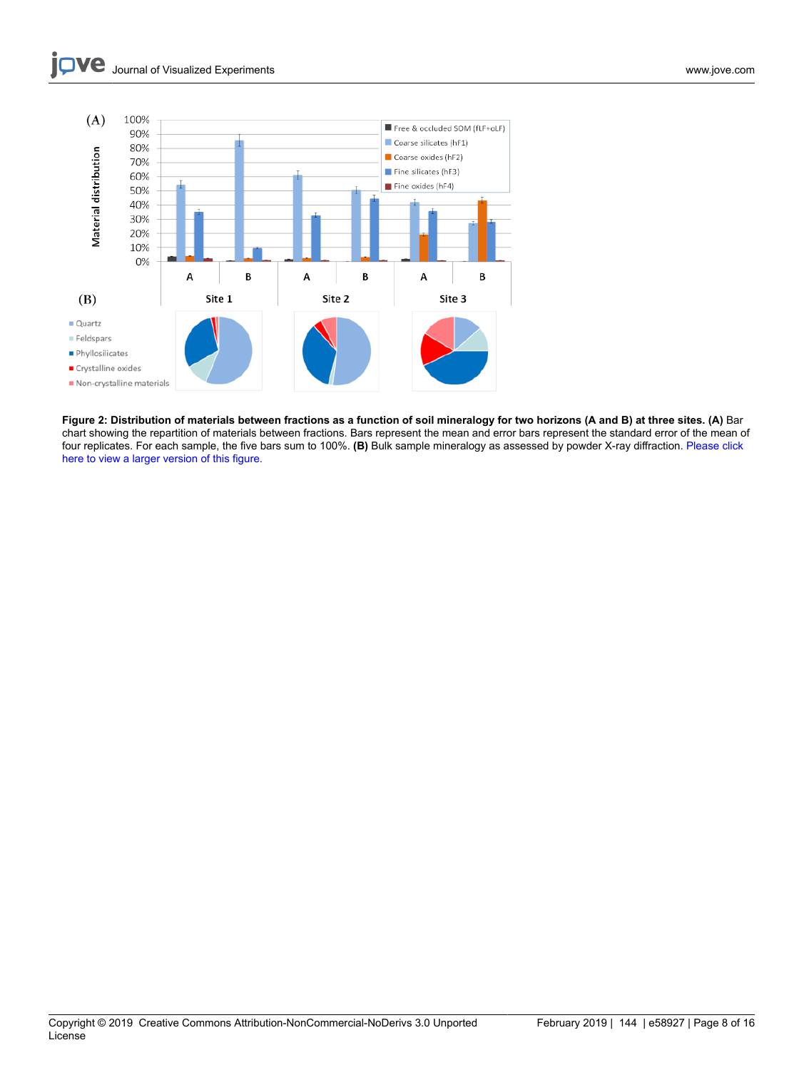

**Figure 2: Distribution of materials between fractions as a function of soil mineralogy for two horizons (A and B) at three sites. (A)** Bar chart showing the repartition of materials between fractions. Bars represent the mean and error bars represent the standard error of the mean of four replicates. For each sample, the five bars sum to 100%. **(B)** Bulk sample mineralogy as assessed by powder X-ray diffraction. [Please click](https://www.jove.com/files/ftp_upload/58927/58927fig2large.jpg) [here to view a larger version of this figure.](https://www.jove.com/files/ftp_upload/58927/58927fig2large.jpg)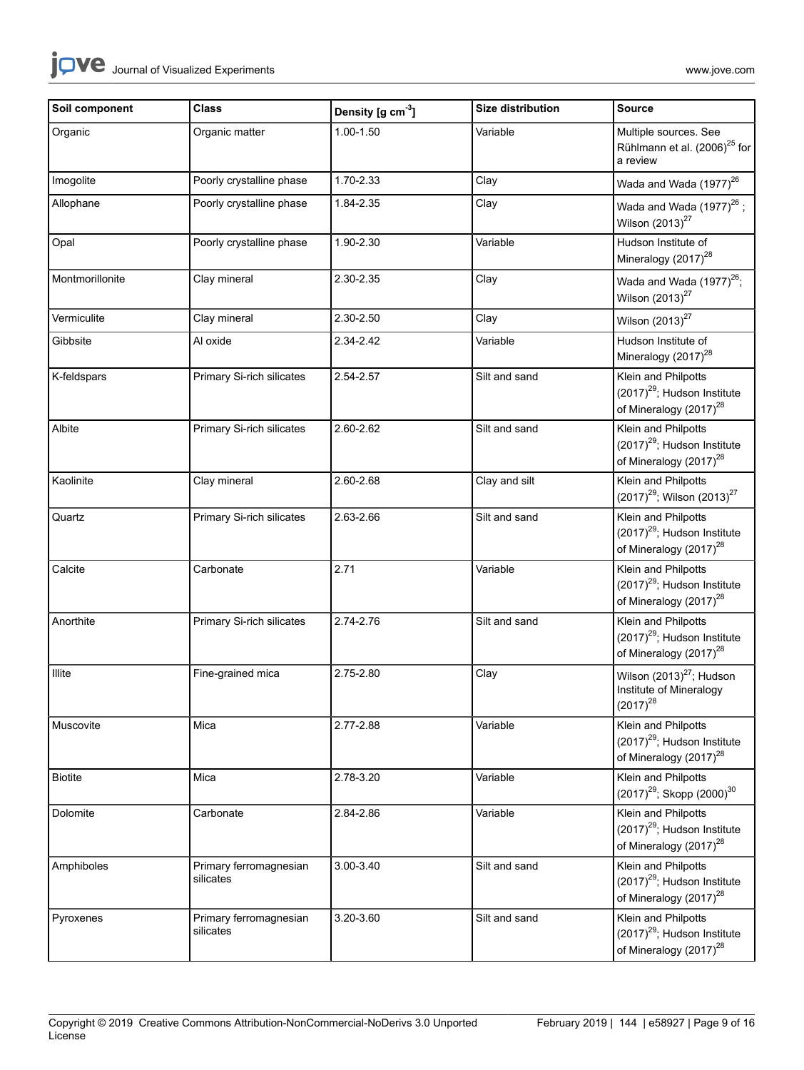

| Soil component  | <b>Class</b>                        | Density [g cm <sup>-3</sup> ] | <b>Size distribution</b> | <b>Source</b>                                                                                        |
|-----------------|-------------------------------------|-------------------------------|--------------------------|------------------------------------------------------------------------------------------------------|
| Organic         | Organic matter                      | 1.00-1.50                     | Variable                 | Multiple sources. See<br>Rühlmann et al. (2006) <sup>25</sup> for<br>a review                        |
| Imogolite       | Poorly crystalline phase            | 1.70-2.33                     | Clay                     | Wada and Wada (1977) <sup>26</sup>                                                                   |
| Allophane       | Poorly crystalline phase            | 1.84-2.35                     | Clay                     | Wada and Wada $(1977)^{26}$ ;<br>Wilson $(2013)^{27}$                                                |
| Opal            | Poorly crystalline phase            | 1.90-2.30                     | Variable                 | Hudson Institute of<br>Mineralogy (2017) <sup>28</sup>                                               |
| Montmorillonite | Clay mineral                        | 2.30-2.35                     | Clay                     | Wada and Wada (1977) <sup>26</sup> ;<br>Wilson $(2013)^{27}$                                         |
| Vermiculite     | Clay mineral                        | 2.30-2.50                     | Clay                     | Wilson $(2013)^{27}$                                                                                 |
| Gibbsite        | Al oxide                            | 2.34-2.42                     | Variable                 | Hudson Institute of<br>Mineralogy (2017) <sup>28</sup>                                               |
| K-feldspars     | Primary Si-rich silicates           | 2.54-2.57                     | Silt and sand            | Klein and Philpotts<br>$(2017)^{29}$ ; Hudson Institute<br>of Mineralogy (2017) <sup>28</sup>        |
| Albite          | Primary Si-rich silicates           | 2.60-2.62                     | Silt and sand            | Klein and Philpotts<br>(2017) <sup>29</sup> ; Hudson Institute<br>of Mineralogy (2017) <sup>28</sup> |
| Kaolinite       | Clay mineral                        | 2.60-2.68                     | Clay and silt            | Klein and Philpotts<br>$(2017)^{29}$ ; Wilson $(2013)^{27}$                                          |
| Quartz          | Primary Si-rich silicates           | 2.63-2.66                     | Silt and sand            | Klein and Philpotts<br>(2017) <sup>29</sup> ; Hudson Institute<br>of Mineralogy (2017) <sup>28</sup> |
| Calcite         | Carbonate                           | 2.71                          | Variable                 | Klein and Philpotts<br>(2017) <sup>29</sup> ; Hudson Institute<br>of Mineralogy (2017) <sup>28</sup> |
| Anorthite       | Primary Si-rich silicates           | 2.74-2.76                     | Silt and sand            | Klein and Philpotts<br>(2017) <sup>29</sup> ; Hudson Institute<br>of Mineralogy (2017) <sup>28</sup> |
| Illite          | Fine-grained mica                   | 2.75-2.80                     | Clay                     | Wilson (2013) <sup>27</sup> ; Hudson<br>Institute of Mineralogy<br>$(2017)^{28}$                     |
| Muscovite       | Mica                                | 2.77-2.88                     | Variable                 | Klein and Philpotts<br>$(2017)^{29}$ ; Hudson Institute<br>of Mineralogy (2017) <sup>28</sup>        |
| <b>Biotite</b>  | Mica                                | 2.78-3.20                     | Variable                 | Klein and Philpotts<br>$(2017)^{29}$ ; Skopp $(2000)^{30}$                                           |
| Dolomite        | Carbonate                           | 2.84-2.86                     | Variable                 | Klein and Philpotts<br>$(2017)^{29}$ ; Hudson Institute<br>of Mineralogy (2017) <sup>28</sup>        |
| Amphiboles      | Primary ferromagnesian<br>silicates | 3.00-3.40                     | Silt and sand            | Klein and Philpotts<br>$(2017)^{29}$ ; Hudson Institute<br>of Mineralogy (2017) <sup>28</sup>        |
| Pyroxenes       | Primary ferromagnesian<br>silicates | 3.20-3.60                     | Silt and sand            | Klein and Philpotts<br>$(2017)^{29}$ ; Hudson Institute<br>of Mineralogy (2017) <sup>28</sup>        |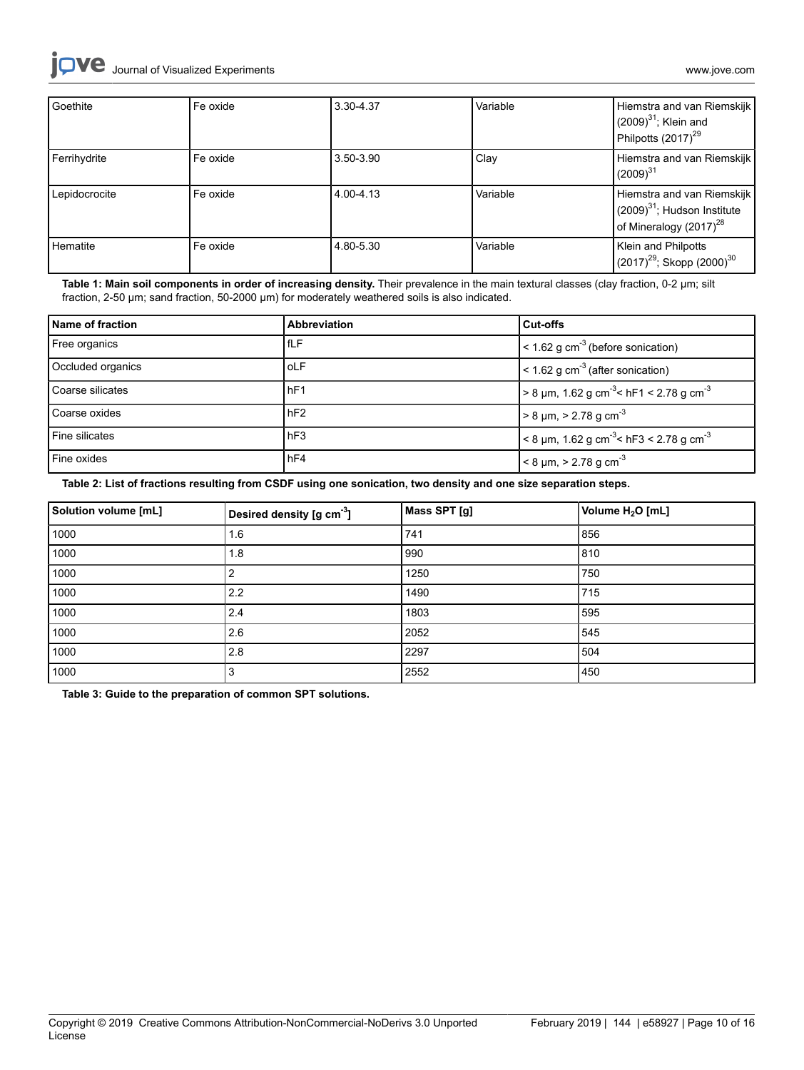

| Goethite      | l Fe oxide l | 3.30-4.37 | Variable | Hiemstra and van Riemskijk<br>$(2009)^{31}$ ; Klein and<br>Philpotts (2017) <sup>29</sup>            |
|---------------|--------------|-----------|----------|------------------------------------------------------------------------------------------------------|
| Ferrihydrite  | Fe oxide     | 3.50-3.90 | Clay     | Hiemstra and van Riemskijk<br>$(2009)^{31}$                                                          |
| Lepidocrocite | Fe oxide     | 4.00-4.13 | Variable | Hiemstra and van Riemskijk<br>$(2009)^{31}$ ; Hudson Institute<br>of Mineralogy (2017) <sup>28</sup> |
| Hematite      | Fe oxide     | 4.80-5.30 | Variable | Klein and Philpotts<br>$(2017)^{29}$ ; Skopp $(2000)^{30}$                                           |

**Table 1: Main soil components in order of increasing density.** Their prevalence in the main textural classes (clay fraction, 0-2 µm; silt fraction, 2-50 µm; sand fraction, 50-2000 µm) for moderately weathered soils is also indicated.

| Name of fraction  | <b>Abbreviation</b> | Cut-offs                                                                      |
|-------------------|---------------------|-------------------------------------------------------------------------------|
| Free organics     | fLF                 | $<$ 1.62 g cm <sup>-3</sup> (before sonication)                               |
| Occluded organics | oLF                 | $\approx$ 1.62 g cm <sup>-3</sup> (after sonication)                          |
| Coarse silicates  | hF1                 | $\frac{1}{2}$ > 8 µm, 1.62 g cm <sup>-3</sup> < hF1 < 2.78 g cm <sup>-3</sup> |
| Coarse oxides     | hF <sub>2</sub>     | $> 8 \mu m$ , $> 2.78 \mu cm^{-3}$                                            |
| Fine silicates    | hF3                 | $\approx$ 8 µm, 1.62 g cm <sup>-3</sup> < hF3 < 2.78 g cm <sup>-3</sup>       |
| Fine oxides       | hF4                 | $ $ < 8 µm, > 2.78 g cm <sup>-3</sup>                                         |

Table 2: List of fractions resulting from CSDF using one sonication, two density and one size separation steps.

| Solution volume [mL] | Desired density [g $\mathsf{cm}^3$ ] | Mass SPT [g] | Volume H <sub>2</sub> O [mL] |
|----------------------|--------------------------------------|--------------|------------------------------|
| 1000                 | 1.6                                  | 741          | 856                          |
| 1000                 | 1.8                                  | 990          | 810                          |
| 1000                 |                                      | 1250         | 750                          |
| 1000                 | 2.2                                  | 1490         | 715                          |
| 1000                 | 2.4                                  | 1803         | 595                          |
| 1000                 | 2.6                                  | 2052         | 545                          |
| 1000                 | 2.8                                  | 2297         | 504                          |
| 1000                 |                                      | 2552         | 450                          |

**Table 3: Guide to the preparation of common SPT solutions.**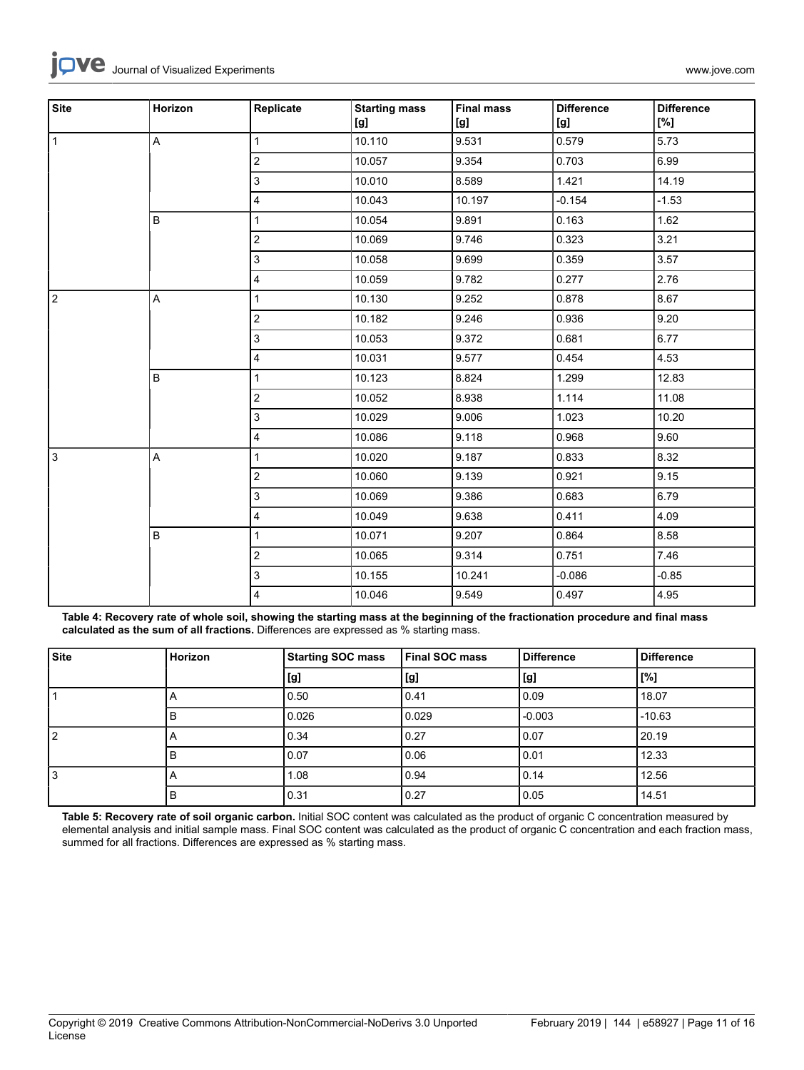| Site           | Horizon                 | Replicate               | <b>Starting mass</b><br>[g] | <b>Final mass</b><br>[g] | <b>Difference</b><br>[g] | <b>Difference</b><br>[%] |
|----------------|-------------------------|-------------------------|-----------------------------|--------------------------|--------------------------|--------------------------|
| 1              | $\mathsf A$             | $\mathbf{1}$            | 10.110                      | 9.531                    | 0.579                    | 5.73                     |
|                |                         | $\overline{2}$          | 10.057                      | 9.354                    | 0.703                    | 6.99                     |
|                |                         | $\overline{3}$          | 10.010                      | 8.589                    | 1.421                    | 14.19                    |
|                |                         | $\overline{\mathbf{4}}$ | 10.043                      | 10.197                   | $-0.154$                 | $-1.53$                  |
|                | B                       | $\mathbf{1}$            | 10.054                      | 9.891                    | 0.163                    | 1.62                     |
|                |                         | $\overline{2}$          | 10.069                      | 9.746                    | 0.323                    | 3.21                     |
|                |                         | $\overline{3}$          | 10.058                      | 9.699                    | 0.359                    | 3.57                     |
|                |                         | $\overline{\mathbf{4}}$ | 10.059                      | 9.782                    | 0.277                    | 2.76                     |
| $\overline{2}$ | $\mathsf A$             | $\mathbf{1}$            | 10.130                      | 9.252                    | 0.878                    | 8.67                     |
|                |                         | $\overline{2}$          | 10.182                      | 9.246                    | 0.936                    | 9.20                     |
|                |                         | $\overline{3}$          | 10.053                      | 9.372                    | 0.681                    | 6.77                     |
|                |                         | $\overline{\mathbf{4}}$ | 10.031                      | 9.577                    | 0.454                    | 4.53                     |
|                | $\, {\bf B}$            | $\mathbf{1}$            | 10.123                      | 8.824                    | 1.299                    | 12.83                    |
|                |                         | $\overline{2}$          | 10.052                      | 8.938                    | 1.114                    | 11.08                    |
|                |                         | $\overline{3}$          | 10.029                      | 9.006                    | 1.023                    | 10.20                    |
|                |                         | $\overline{\mathbf{4}}$ | 10.086                      | 9.118                    | 0.968                    | 9.60                     |
| $\overline{3}$ | $\overline{\mathsf{A}}$ | $\mathbf{1}$            | 10.020                      | 9.187                    | 0.833                    | 8.32                     |
|                |                         | $\overline{2}$          | 10.060                      | 9.139                    | 0.921                    | 9.15                     |
|                |                         | $\overline{3}$          | 10.069                      | 9.386                    | 0.683                    | 6.79                     |
|                |                         | $\overline{\mathbf{4}}$ | 10.049                      | 9.638                    | 0.411                    | 4.09                     |
|                | B                       | $\mathbf{1}$            | 10.071                      | 9.207                    | 0.864                    | 8.58                     |
|                |                         | $\overline{2}$          | 10.065                      | 9.314                    | 0.751                    | 7.46                     |
|                |                         | $\overline{3}$          | 10.155                      | 10.241                   | $-0.086$                 | $-0.85$                  |
|                |                         | $\overline{\mathbf{4}}$ | 10.046                      | 9.549                    | 0.497                    | 4.95                     |

Table 4: Recovery rate of whole soil, showing the starting mass at the beginning of the fractionation procedure and final mass **calculated as the sum of all fractions.** Differences are expressed as % starting mass.

| Site | <b>Horizon</b> | <b>Starting SOC mass</b> | <b>Final SOC mass</b> | <b>Difference</b> | <b>Difference</b> |
|------|----------------|--------------------------|-----------------------|-------------------|-------------------|
|      |                | [g]                      | [g]                   | [g]               | [%]               |
|      | Α              | 0.50                     | 0.41                  | 0.09              | 18.07             |
|      | B              | 0.026                    | 0.029                 | $-0.003$          | $-10.63$          |
| l 2  | A              | 0.34                     | 0.27                  | 0.07              | 20.19             |
|      | B              | 10.07                    | 0.06                  | 10.01             | 12.33             |
| Iз   | A              | 1.08                     | 0.94                  | 10.14             | 12.56             |
|      | B              | 0.31                     | 0.27                  | 0.05              | 14.51             |

**Table 5: Recovery rate of soil organic carbon.** Initial SOC content was calculated as the product of organic C concentration measured by elemental analysis and initial sample mass. Final SOC content was calculated as the product of organic C concentration and each fraction mass, summed for all fractions. Differences are expressed as % starting mass.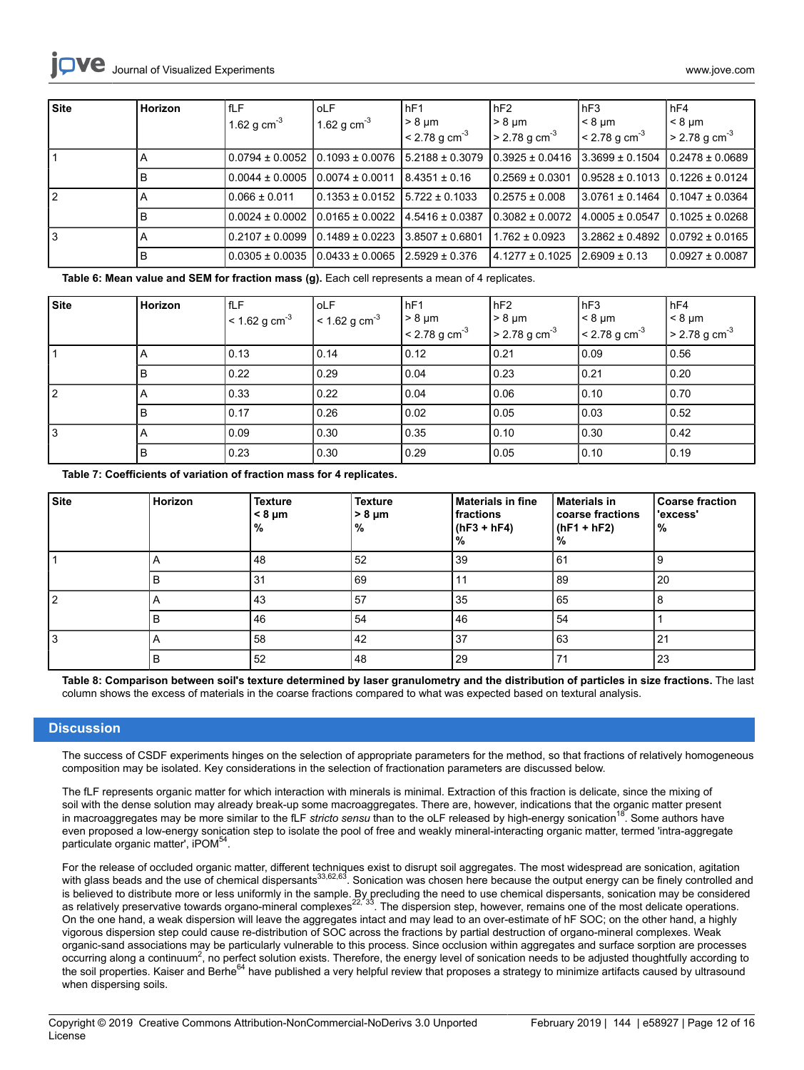| Site     | <b>Horizon</b>          | l fLF                                    | oLF                                                          | hF <sub>1</sub>                            | hF2                                     | hF3                                            | hF4                                        |
|----------|-------------------------|------------------------------------------|--------------------------------------------------------------|--------------------------------------------|-----------------------------------------|------------------------------------------------|--------------------------------------------|
|          |                         | 1.62 g $cm^{-3}$                         | 1.62 g $cm^{-3}$                                             | $> 8 \mu m$<br>$< 2.78$ g cm <sup>-3</sup> | l > 8 µm<br>$> 2.78$ g cm <sup>-3</sup> | $ < 8$ µm<br>$\approx$ 2.78 g cm <sup>-3</sup> | $< 8 \mu m$<br>$> 2.78$ g cm <sup>-3</sup> |
|          |                         |                                          |                                                              |                                            |                                         |                                                |                                            |
|          | $\overline{\mathsf{A}}$ | 0.0794 ± 0.0052                          | $10.1093 \pm 0.0076$                                         | $15.2188 \pm 0.3079$                       | $10.3925 \pm 0.0416$                    | 3.3699 ± 0.1504                                | 0.2478 ± 0.0689                            |
|          | B                       | $0.0044 \pm 0.0005$ 10.0074 $\pm$ 0.0011 |                                                              | $18.4351 \pm 0.16$                         | 0.2569 ± 0.0301                         | $10.9528 \pm 0.1013$                           | $10.1226 \pm 0.0124$                       |
| <u>2</u> | $\mathsf{A}$            | $0.066 \pm 0.011$                        | 0.1353 ± 0.0152                                              | $15.722 \pm 0.1033$                        | 0.2575 ± 0.008                          | 3.0761 ± 0.1464                                | 0.1047 ± 0.0364                            |
|          | B                       | $0.0024 \pm 0.0002$                      | $10.0165 \pm 0.0022$                                         | 4.5416 ± 0.0387                            | $0.3082 \pm 0.0072$                     | $4.0005 \pm 0.0547$                            | 0.1025 ± 0.0268                            |
| l 3      | $\overline{A}$          | 0.2107 ± 0.0099                          | $10.1489 \pm 0.0223$                                         | $13.8507 \pm 0.6801$                       | $1.762 \pm 0.0923$                      | 3.2862 ± 0.4892                                | 0.0792 ± 0.0165                            |
|          | l B                     |                                          | $0.0305 \pm 0.0035$ $10.0433 \pm 0.0065$ $12.5929 \pm 0.376$ |                                            | l 4.1277 ± 0.1025                       | $12.6909 \pm 0.13$                             | 0.0927 ± 0.0087                            |

**Table 6: Mean value and SEM for fraction mass (g).** Each cell represents a mean of 4 replicates.

| Site | Horizon | ∣fLF<br>$<$ 1.62 g cm <sup>-3</sup> | oLF<br>$1 < 1.62$ g cm <sup>-3</sup> | hF <sub>1</sub><br>$> 8 \mu m$<br>$< 2.78$ g cm <sup>-3</sup> | hF <sub>2</sub><br> > 8 µm<br>$\vert$ > 2.78 g cm <sup>-3</sup> | hF3<br>$< 8 \mu m$<br>$1 < 2.78$ g cm <sup>-3</sup> | hF4<br>$< 8 \mu m$<br>$\ge 2.78$ g cm <sup>-3</sup> |
|------|---------|-------------------------------------|--------------------------------------|---------------------------------------------------------------|-----------------------------------------------------------------|-----------------------------------------------------|-----------------------------------------------------|
|      | A       | 0.13                                | $\overline{0.14}$                    | 0.12                                                          | 0.21                                                            | 0.09                                                | 0.56                                                |
|      | IΒ.     | 0.22                                | 0.29                                 | 0.04                                                          | 0.23                                                            | 0.21                                                | 10.20                                               |
| l 2  | A       | 0.33                                | 0.22                                 | 0.04                                                          | 0.06                                                            | 0.10                                                | 0.70                                                |
|      | lВ      | 0.17                                | 0.26                                 | 0.02                                                          | 0.05                                                            | 0.03                                                | 0.52                                                |
| 3    | A       | 0.09                                | 0.30                                 | 0.35                                                          | 0.10                                                            | 0.30                                                | 10.42                                               |
|      | lВ      | 0.23                                | 0.30                                 | 0.29                                                          | 0.05                                                            | 0.10                                                | 0.19                                                |

**Table 7: Coefficients of variation of fraction mass for 4 replicates.**

| Site | Horizon | <b>Texture</b><br>$< 8 \mu m$<br>$\%$ | <b>Texture</b><br>$> 8 \mu m$<br>% | <b>Materials in fine</b><br>fractions<br>$(hF3 + hF4)$<br>% | <b>Materials in</b><br>coarse fractions<br>$(hF1 + hF2)$<br>% | <b>Coarse fraction</b><br>'excess'<br>% |
|------|---------|---------------------------------------|------------------------------------|-------------------------------------------------------------|---------------------------------------------------------------|-----------------------------------------|
|      | A       | 48                                    | 52                                 | 39                                                          | 61                                                            | 9                                       |
|      | B       | 31                                    | 69                                 | 11                                                          | 89                                                            | 20                                      |
| l 2  | A       | 43                                    | 57                                 | 35                                                          | 65                                                            | 8                                       |
|      | B       | 46                                    | 54                                 | 46                                                          | 54                                                            |                                         |
| 13   | А       | 58                                    | 42                                 | 37                                                          | 63                                                            | 21                                      |
|      | B       | 52                                    | 48                                 | 29                                                          | 71                                                            | 23                                      |

Table 8: Comparison between soil's texture determined by laser granulometry and the distribution of particles in size fractions. The last column shows the excess of materials in the coarse fractions compared to what was expected based on textural analysis.

# **Discussion**

The success of CSDF experiments hinges on the selection of appropriate parameters for the method, so that fractions of relatively homogeneous composition may be isolated. Key considerations in the selection of fractionation parameters are discussed below.

The fLF represents organic matter for which interaction with minerals is minimal. Extraction of this fraction is delicate, since the mixing of soil with the dense solution may already break-up some macroaggregates. There are, however, indications that the organic matter present in macroaggregates may be more similar to the fLF *stricto sensu* than to the oLF released by high-energy sonication<sup>18</sup>. Some authors have even proposed a low-energy sonication step to isolate the pool of free and weakly mineral-interacting organic matter, termed 'intra-aggregate particulate organic matter', iPOM<sup>54</sup>.

For the release of occluded organic matter, different techniques exist to disrupt soil aggregates. The most widespread are sonication, agitation<br>with glass beads and the use of chemical dispersants<sup>33,62,63</sup>. Sonication wa is believed to distribute more or less uniformly in the sample. By precluding the need to use chemical dispersants, sonication may be considered<br>as relatively preservative towards organo-mineral complexes<sup>22, 33</sup>. The disp On the one hand, a weak dispersion will leave the aggregates intact and may lead to an over-estimate of hF SOC; on the other hand, a highly vigorous dispersion step could cause re-distribution of SOC across the fractions by partial destruction of organo-mineral complexes. Weak organic-sand associations may be particularly vulnerable to this process. Since occlusion within aggregates and surface sorption are processes occurring along a continuum<sup>2</sup>, no perfect solution exists. Therefore, the energy level of sonication needs to be adjusted thoughtfully according to the soil properties. Kaiser and Berhe<sup>64</sup> have published a very helpful review that proposes a strategy to minimize artifacts caused by ultrasound when dispersing soils.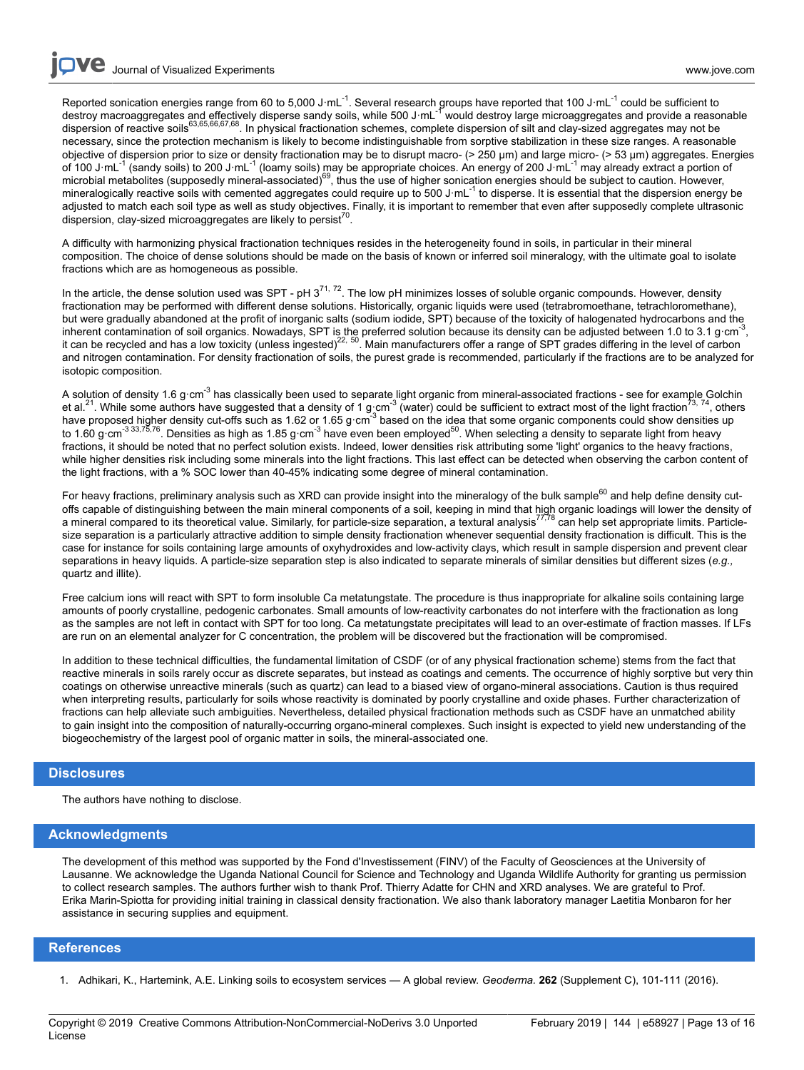Reported sonication energies range from 60 to 5,000 J·mL<sup>-1</sup>. Several research groups have reported that 100 J·mL<sup>-1</sup> could be sufficient to destroy macroaggregates and effectively disperse sandy soils, while 500 J·mL<sup>-T</sup> would destroy large microaggregates and provide a reasonable dispersion of reactive soils<sup>63,65,66,67,68</sup>. In physical fractionation schemes, complete dispersion of silt and clay-sized aggregates may not be necessary, since the protection mechanism is likely to become indistinguishable from sorptive stabilization in these size ranges. A reasonable objective of dispersion prior to size or density fractionation may be to disrupt macro- (> 250 µm) and large micro- (> 53 µm) aggregates. Energies of 100 J·mL<sup>-1</sup> (sandy soils) to 200 J·mL<sup>-1</sup> (loamy soils) may be appropriate choices. An energy of 200 J·mL<sup>-1</sup> may already extract a portion of microbial metabolites (supposedly mineral-associated)<sup>69</sup>, thus the use of higher sonication energies should be subject to caution. However, mineralogically reactive soils with cemented aggregates could require up to 500 J·mL<sup>-1</sup> to disperse. It is essential that the dispersion energy be adjusted to match each soil type as well as study objectives. Finally, it is important to remember that even after supposedly complete ultrasonic dispersion, clay-sized microaggregates are likely to persist $70$ .

A difficulty with harmonizing physical fractionation techniques resides in the heterogeneity found in soils, in particular in their mineral composition. The choice of dense solutions should be made on the basis of known or inferred soil mineralogy, with the ultimate goal to isolate fractions which are as homogeneous as possible.

In the article, the dense solution used was SPT -  $pH 3^{71.72}$ . The low  $pH$  minimizes losses of soluble organic compounds. However, density fractionation may be performed with different dense solutions. Historically, organic liquids were used (tetrabromoethane, tetrachloromethane), but were gradually abandoned at the profit of inorganic salts (sodium iodide, SPT) because of the toxicity of halogenated hydrocarbons and the inherent contamination of soil organics. Nowadays, SPT is the preferred solution because its density can be adjusted between 1.0 to 3.1 g·cm<sup>-3</sup>, it can be recycled and has a low toxicity (unless ingested)<sup>22, 50</sup>. Main manufacturers offer a range of SPT grades differing in the level of carbon and nitrogen contamination. For density fractionation of soils, the purest grade is recommended, particularly if the fractions are to be analyzed for isotopic composition.

A solution of density 1.6 g·cm<sup>-3</sup> has classically been used to separate light organic from mineral-associated fractions - see for example Golchin et al.<sup>21</sup>. While some authors have suggested that a density of 1 g·cm<sup>-3</sup> (water) could be sufficient to extract most of the light fraction<sup>73, 74</sup>, others have proposed higher density cut-offs such as 1.62 or 1.65 g·cm<sup>-3</sup> based on the idea that some organic components could show densities up to 1.60 g·cm<sup>-3 33,75,76</sup>. Densities as high as 1.85 g·cm<sup>-3</sup> have even been employed<sup>50</sup>. When selecting a density to separate light from heavy fractions, it should be noted that no perfect solution exists. Indeed, lower densities risk attributing some 'light' organics to the heavy fractions, while higher densities risk including some minerals into the light fractions. This last effect can be detected when observing the carbon content of the light fractions, with a % SOC lower than 40-45% indicating some degree of mineral contamination.

For heavy fractions, preliminary analysis such as XRD can provide insight into the mineralogy of the bulk sample<sup>60</sup> and help define density cutoffs capable of distinguishing between the main mineral components of a soil, keeping in mind that high organic loadings will lower the density of a mineral compared to its theoretical value. Similarly, for particle-size separation, a textural analysis<sup>77,78</sup> can help set appropriate limits. Particlesize separation is a particularly attractive addition to simple density fractionation whenever sequential density fractionation is difficult. This is the case for instance for soils containing large amounts of oxyhydroxides and low-activity clays, which result in sample dispersion and prevent clear separations in heavy liquids. A particle-size separation step is also indicated to separate minerals of similar densities but different sizes (*e.g.,* quartz and illite).

Free calcium ions will react with SPT to form insoluble Ca metatungstate. The procedure is thus inappropriate for alkaline soils containing large amounts of poorly crystalline, pedogenic carbonates. Small amounts of low-reactivity carbonates do not interfere with the fractionation as long as the samples are not left in contact with SPT for too long. Ca metatungstate precipitates will lead to an over-estimate of fraction masses. If LFs are run on an elemental analyzer for C concentration, the problem will be discovered but the fractionation will be compromised.

In addition to these technical difficulties, the fundamental limitation of CSDF (or of any physical fractionation scheme) stems from the fact that reactive minerals in soils rarely occur as discrete separates, but instead as coatings and cements. The occurrence of highly sorptive but very thin coatings on otherwise unreactive minerals (such as quartz) can lead to a biased view of organo-mineral associations. Caution is thus required when interpreting results, particularly for soils whose reactivity is dominated by poorly crystalline and oxide phases. Further characterization of fractions can help alleviate such ambiguities. Nevertheless, detailed physical fractionation methods such as CSDF have an unmatched ability to gain insight into the composition of naturally-occurring organo-mineral complexes. Such insight is expected to yield new understanding of the biogeochemistry of the largest pool of organic matter in soils, the mineral-associated one.

#### **Disclosures**

The authors have nothing to disclose.

#### **Acknowledgments**

The development of this method was supported by the Fond d'Investissement (FINV) of the Faculty of Geosciences at the University of Lausanne. We acknowledge the Uganda National Council for Science and Technology and Uganda Wildlife Authority for granting us permission to collect research samples. The authors further wish to thank Prof. Thierry Adatte for CHN and XRD analyses. We are grateful to Prof. Erika Marin-Spiotta for providing initial training in classical density fractionation. We also thank laboratory manager Laetitia Monbaron for her assistance in securing supplies and equipment.

#### **References**

1. Adhikari, K., Hartemink, A.E. Linking soils to ecosystem services — A global review. *Geoderma.* **262** (Supplement C), 101-111 (2016).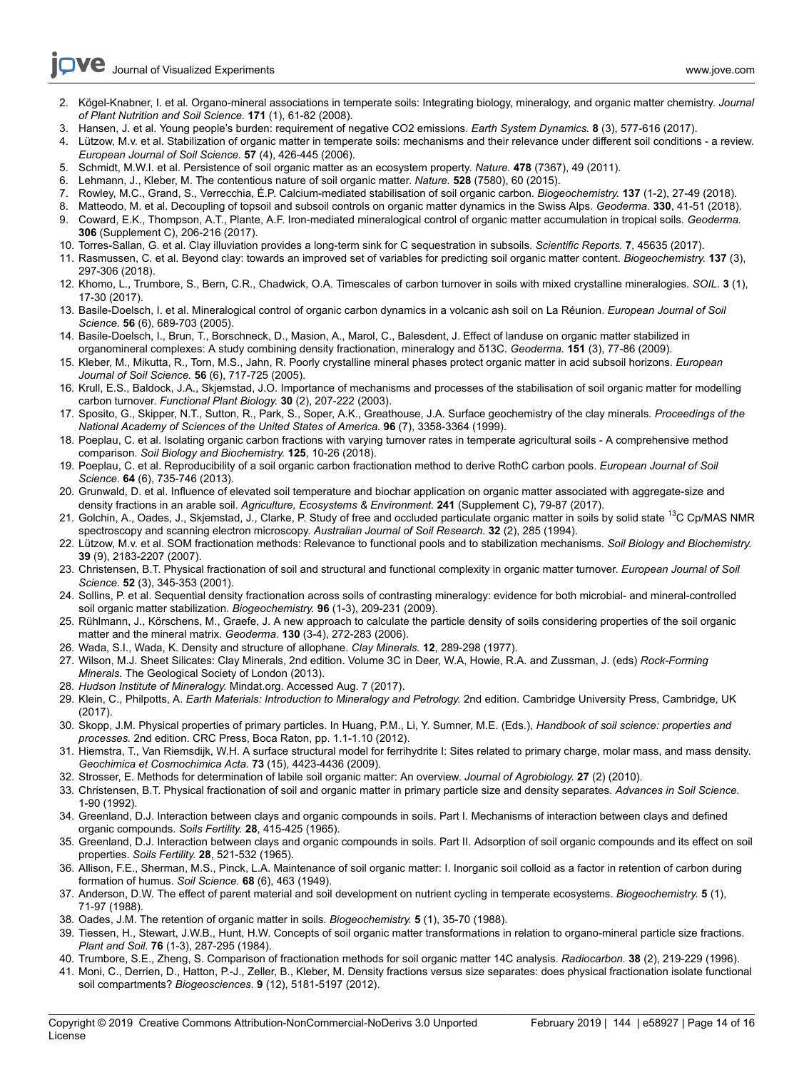**JOVE** Journal of Visualized [Experiments](https://www.jove.com) **With Contract Contract Contract Contract Contract Contract Contract Contract Contract Contract Contract Contract Contract Contract Contract Contract Contract Contract Contract Cont** 

- 2. Kögel-Knabner, I. et al. Organo-mineral associations in temperate soils: Integrating biology, mineralogy, and organic matter chemistry. *Journal of Plant Nutrition and Soil Science.* **171** (1), 61-82 (2008).
- 3. Hansen, J. et al. Young people's burden: requirement of negative CO2 emissions. *Earth System Dynamics.* **8** (3), 577-616 (2017).
- 4. Lützow, M.v. et al. Stabilization of organic matter in temperate soils: mechanisms and their relevance under different soil conditions a review. *European Journal of Soil Science.* **57** (4), 426-445 (2006).
- 5. Schmidt, M.W.I. et al. Persistence of soil organic matter as an ecosystem property. *Nature.* **478** (7367), 49 (2011).
- 6. Lehmann, J., Kleber, M. The contentious nature of soil organic matter. *Nature.* **528** (7580), 60 (2015).
- 7. Rowley, M.C., Grand, S., Verrecchia, É.P. Calcium-mediated stabilisation of soil organic carbon. *Biogeochemistry.* **137** (1-2), 27-49 (2018).
- 8. Matteodo, M. et al. Decoupling of topsoil and subsoil controls on organic matter dynamics in the Swiss Alps. *Geoderma.* **330**, 41-51 (2018).
- 9. Coward, E.K., Thompson, A.T., Plante, A.F. Iron-mediated mineralogical control of organic matter accumulation in tropical soils. *Geoderma.* **306** (Supplement C), 206-216 (2017).
- 10. Torres-Sallan, G. et al. Clay illuviation provides a long-term sink for C sequestration in subsoils. *Scientific Reports.* **7**, 45635 (2017).
- 11. Rasmussen, C. et al. Beyond clay: towards an improved set of variables for predicting soil organic matter content. *Biogeochemistry.* **137** (3), 297-306 (2018).
- 12. Khomo, L., Trumbore, S., Bern, C.R., Chadwick, O.A. Timescales of carbon turnover in soils with mixed crystalline mineralogies. *SOIL.* **3** (1), 17-30 (2017).
- 13. Basile-Doelsch, I. et al. Mineralogical control of organic carbon dynamics in a volcanic ash soil on La Réunion. *European Journal of Soil Science.* **56** (6), 689-703 (2005).
- 14. Basile-Doelsch, I., Brun, T., Borschneck, D., Masion, A., Marol, C., Balesdent, J. Effect of landuse on organic matter stabilized in organomineral complexes: A study combining density fractionation, mineralogy and δ13C. *Geoderma.* **151** (3), 77-86 (2009).
- 15. Kleber, M., Mikutta, R., Torn, M.S., Jahn, R. Poorly crystalline mineral phases protect organic matter in acid subsoil horizons. *European Journal of Soil Science.* **56** (6), 717-725 (2005).
- 16. Krull, E.S., Baldock, J.A., Skjemstad, J.O. Importance of mechanisms and processes of the stabilisation of soil organic matter for modelling carbon turnover. *Functional Plant Biology.* **30** (2), 207-222 (2003).
- 17. Sposito, G., Skipper, N.T., Sutton, R., Park, S., Soper, A.K., Greathouse, J.A. Surface geochemistry of the clay minerals. *Proceedings of the National Academy of Sciences of the United States of America.* **96** (7), 3358-3364 (1999).
- 18. Poeplau, C. et al. Isolating organic carbon fractions with varying turnover rates in temperate agricultural soils A comprehensive method comparison. *Soil Biology and Biochemistry.* **125**, 10-26 (2018).
- 19. Poeplau, C. et al. Reproducibility of a soil organic carbon fractionation method to derive RothC carbon pools. *European Journal of Soil Science.* **64** (6), 735-746 (2013).
- 20. Grunwald, D. et al. Influence of elevated soil temperature and biochar application on organic matter associated with aggregate-size and density fractions in an arable soil. *Agriculture, Ecosystems & Environment.* **241** (Supplement C), 79-87 (2017).
- 21. Golchin, A., Oades, J., Skjemstad, J., Clarke, P. Study of free and occluded particulate organic matter in soils by solid state <sup>13</sup>C Cp/MAS NMR spectroscopy and scanning electron microscopy. *Australian Journal of Soil Research.* **32** (2), 285 (1994).
- 22. Lützow, M.v. et al. SOM fractionation methods: Relevance to functional pools and to stabilization mechanisms. *Soil Biology and Biochemistry.* **39** (9), 2183-2207 (2007).
- 23. Christensen, B.T. Physical fractionation of soil and structural and functional complexity in organic matter turnover. *European Journal of Soil Science.* **52** (3), 345-353 (2001).
- 24. Sollins, P. et al. Sequential density fractionation across soils of contrasting mineralogy: evidence for both microbial- and mineral-controlled soil organic matter stabilization. *Biogeochemistry.* **96** (1-3), 209-231 (2009).
- 25. Rühlmann, J., Körschens, M., Graefe, J. A new approach to calculate the particle density of soils considering properties of the soil organic matter and the mineral matrix. *Geoderma.* **130** (3-4), 272-283 (2006).
- 26. Wada, S.I., Wada, K. Density and structure of allophane. *Clay Minerals.* **12**, 289-298 (1977).
- 27. Wilson, M.J. Sheet Silicates: Clay Minerals, 2nd edition. Volume 3C in Deer, W.A, Howie, R.A. and Zussman, J. (eds) *Rock-Forming Minerals.* The Geological Society of London (2013).
- 28. *Hudson Institute of Mineralogy.* Mindat.org. Accessed Aug. 7 (2017).
- 29. Klein, C., Philpotts, A. *Earth Materials: Introduction to Mineralogy and Petrology.* 2nd edition. Cambridge University Press, Cambridge, UK (2017).
- 30. Skopp, J.M. Physical properties of primary particles. In Huang, P.M., Li, Y. Sumner, M.E. (Eds.), *Handbook of soil science: properties and processes.* 2nd edition. CRC Press, Boca Raton, pp. 1.1-1.10 (2012).
- 31. Hiemstra, T., Van Riemsdijk, W.H. A surface structural model for ferrihydrite I: Sites related to primary charge, molar mass, and mass density. *Geochimica et Cosmochimica Acta.* **73** (15), 4423-4436 (2009).
- 32. Strosser, E. Methods for determination of labile soil organic matter: An overview. *Journal of Agrobiology.* **27** (2) (2010).
- 33. Christensen, B.T. Physical fractionation of soil and organic matter in primary particle size and density separates. *Advances in Soil Science.* 1-90 (1992).
- 34. Greenland, D.J. Interaction between clays and organic compounds in soils. Part I. Mechanisms of interaction between clays and defined organic compounds. *Soils Fertility.* **28**, 415-425 (1965).
- 35. Greenland, D.J. Interaction between clays and organic compounds in soils. Part II. Adsorption of soil organic compounds and its effect on soil properties. *Soils Fertility.* **28**, 521-532 (1965).
- 36. Allison, F.E., Sherman, M.S., Pinck, L.A. Maintenance of soil organic matter: I. Inorganic soil colloid as a factor in retention of carbon during formation of humus. *Soil Science.* **68** (6), 463 (1949).
- 37. Anderson, D.W. The effect of parent material and soil development on nutrient cycling in temperate ecosystems. *Biogeochemistry.* **5** (1), 71-97 (1988).
- 38. Oades, J.M. The retention of organic matter in soils. *Biogeochemistry.* **5** (1), 35-70 (1988).
- 39. Tiessen, H., Stewart, J.W.B., Hunt, H.W. Concepts of soil organic matter transformations in relation to organo-mineral particle size fractions. *Plant and Soil.* **76** (1-3), 287-295 (1984).
- 40. Trumbore, S.E., Zheng, S. Comparison of fractionation methods for soil organic matter 14C analysis. *Radiocarbon.* **38** (2), 219-229 (1996).
- 41. Moni, C., Derrien, D., Hatton, P.-J., Zeller, B., Kleber, M. Density fractions versus size separates: does physical fractionation isolate functional soil compartments? *Biogeosciences.* **9** (12), 5181-5197 (2012).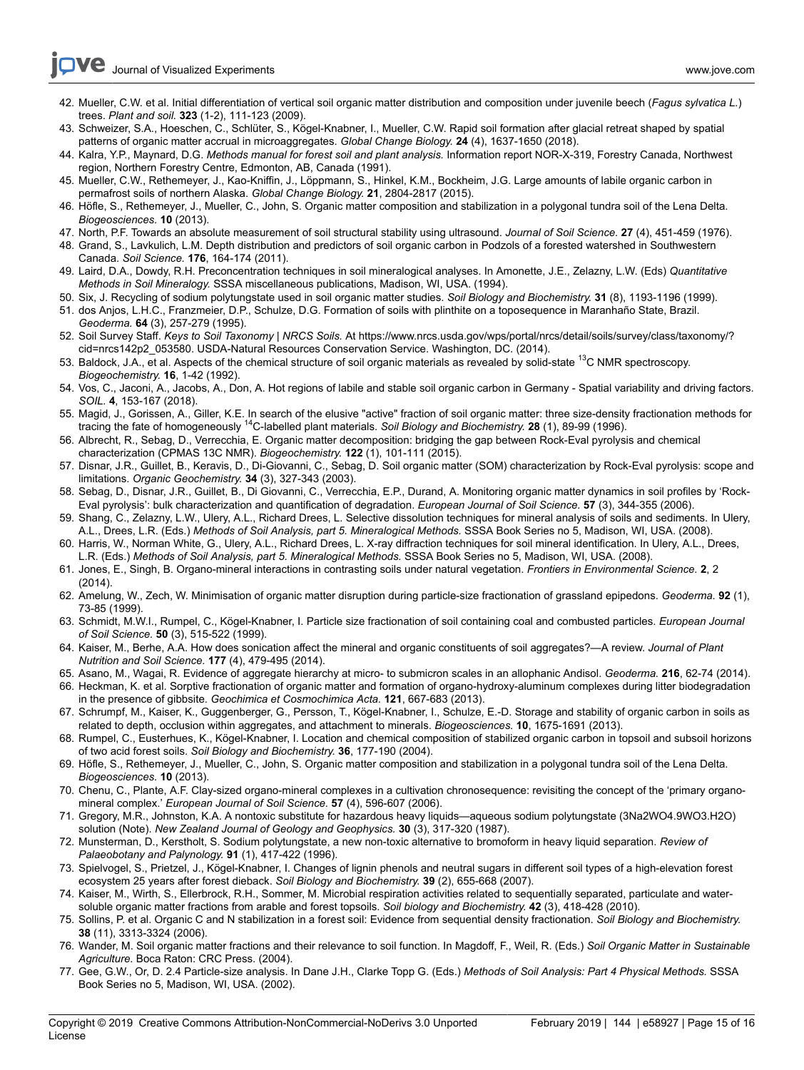- 42. Mueller, C.W. et al. Initial differentiation of vertical soil organic matter distribution and composition under juvenile beech (*Fagus sylvatica L.*) trees. *Plant and soil.* **323** (1-2), 111-123 (2009).
- 43. Schweizer, S.A., Hoeschen, C., Schlüter, S., Kögel-Knabner, I., Mueller, C.W. Rapid soil formation after glacial retreat shaped by spatial patterns of organic matter accrual in microaggregates. *Global Change Biology.* **24** (4), 1637-1650 (2018).
- 44. Kalra, Y.P., Maynard, D.G. *Methods manual for forest soil and plant analysis.* Information report NOR-X-319, Forestry Canada, Northwest region, Northern Forestry Centre, Edmonton, AB, Canada (1991).
- 45. Mueller, C.W., Rethemeyer, J., Kao-Kniffin, J., Löppmann, S., Hinkel, K.M., Bockheim, J.G. Large amounts of labile organic carbon in permafrost soils of northern Alaska. *Global Change Biology.* **21**, 2804-2817 (2015).
- 46. Höfle, S., Rethemeyer, J., Mueller, C., John, S. Organic matter composition and stabilization in a polygonal tundra soil of the Lena Delta. *Biogeosciences.* **10** (2013).
- 47. North, P.F. Towards an absolute measurement of soil structural stability using ultrasound. *Journal of Soil Science.* **27** (4), 451-459 (1976).
- 48. Grand, S., Lavkulich, L.M. Depth distribution and predictors of soil organic carbon in Podzols of a forested watershed in Southwestern Canada. *Soil Science.* **176**, 164-174 (2011).
- 49. Laird, D.A., Dowdy, R.H. Preconcentration techniques in soil mineralogical analyses. In Amonette, J.E., Zelazny, L.W. (Eds) *Quantitative Methods in Soil Mineralogy.* SSSA miscellaneous publications, Madison, WI, USA. (1994).
- 50. Six, J. Recycling of sodium polytungstate used in soil organic matter studies. *Soil Biology and Biochemistry.* **31** (8), 1193-1196 (1999).
- 51. dos Anjos, L.H.C., Franzmeier, D.P., Schulze, D.G. Formation of soils with plinthite on a toposequence in Maranhaño State, Brazil. *Geoderma.* **64** (3), 257-279 (1995).
- 52. Soil Survey Staff. *Keys to Soil Taxonomy | NRCS Soils.* At https://www.nrcs.usda.gov/wps/portal/nrcs/detail/soils/survey/class/taxonomy/? cid=nrcs142p2\_053580. USDA-Natural Resources Conservation Service. Washington, DC. (2014).
- 53. Baldock, J.A., et al. Aspects of the chemical structure of soil organic materials as revealed by solid-state <sup>13</sup>C NMR spectroscopy. *Biogeochemistry.* **16**, 1-42 (1992).
- 54. Vos, C., Jaconi, A., Jacobs, A., Don, A. Hot regions of labile and stable soil organic carbon in Germany Spatial variability and driving factors. *SOIL.* **4**, 153-167 (2018).
- 55. Magid, J., Gorissen, A., Giller, K.E. In search of the elusive "active" fraction of soil organic matter: three size-density fractionation methods for tracing the fate of homogeneously 14C-labelled plant materials. *Soil Biology and Biochemistry.* **28** (1), 89-99 (1996).
- 56. Albrecht, R., Sebag, D., Verrecchia, E. Organic matter decomposition: bridging the gap between Rock-Eval pyrolysis and chemical characterization (CPMAS 13C NMR). *Biogeochemistry.* **122** (1), 101-111 (2015).
- 57. Disnar, J.R., Guillet, B., Keravis, D., Di-Giovanni, C., Sebag, D. Soil organic matter (SOM) characterization by Rock-Eval pyrolysis: scope and limitations. *Organic Geochemistry.* **34** (3), 327-343 (2003).
- 58. Sebag, D., Disnar, J.R., Guillet, B., Di Giovanni, C., Verrecchia, E.P., Durand, A. Monitoring organic matter dynamics in soil profiles by 'Rock-Eval pyrolysis': bulk characterization and quantification of degradation. *European Journal of Soil Science.* **57** (3), 344-355 (2006).
- 59. Shang, C., Zelazny, L.W., Ulery, A.L., Richard Drees, L. Selective dissolution techniques for mineral analysis of soils and sediments. In Ulery, A.L., Drees, L.R. (Eds.) *Methods of Soil Analysis, part 5. Mineralogical Methods.* SSSA Book Series no 5, Madison, WI, USA. (2008).
- 60. Harris, W., Norman White, G., Ulery, A.L., Richard Drees, L. X-ray diffraction techniques for soil mineral identification. In Ulery, A.L., Drees, L.R. (Eds.) *Methods of Soil Analysis, part 5. Mineralogical Methods.* SSSA Book Series no 5, Madison, WI, USA. (2008).
- 61. Jones, E., Singh, B. Organo-mineral interactions in contrasting soils under natural vegetation. *Frontiers in Environmental Science.* **2**, 2 (2014).
- 62. Amelung, W., Zech, W. Minimisation of organic matter disruption during particle-size fractionation of grassland epipedons. *Geoderma.* **92** (1), 73-85 (1999).
- 63. Schmidt, M.W.I., Rumpel, C., Kögel-Knabner, I. Particle size fractionation of soil containing coal and combusted particles. *European Journal of Soil Science.* **50** (3), 515-522 (1999).
- 64. Kaiser, M., Berhe, A.A. How does sonication affect the mineral and organic constituents of soil aggregates?—A review. *Journal of Plant Nutrition and Soil Science.* **177** (4), 479-495 (2014).
- 65. Asano, M., Wagai, R. Evidence of aggregate hierarchy at micro- to submicron scales in an allophanic Andisol. *Geoderma.* **216**, 62-74 (2014).

66. Heckman, K. et al. Sorptive fractionation of organic matter and formation of organo-hydroxy-aluminum complexes during litter biodegradation in the presence of gibbsite. *Geochimica et Cosmochimica Acta.* **121**, 667-683 (2013).

- 67. Schrumpf, M., Kaiser, K., Guggenberger, G., Persson, T., Kögel-Knabner, I., Schulze, E.-D. Storage and stability of organic carbon in soils as related to depth, occlusion within aggregates, and attachment to minerals. *Biogeosciences.* **10**, 1675-1691 (2013).
- 68. Rumpel, C., Eusterhues, K., Kögel-Knabner, I. Location and chemical composition of stabilized organic carbon in topsoil and subsoil horizons of two acid forest soils. *Soil Biology and Biochemistry.* **36**, 177-190 (2004).
- 69. Höfle, S., Rethemeyer, J., Mueller, C., John, S. Organic matter composition and stabilization in a polygonal tundra soil of the Lena Delta. *Biogeosciences.* **10** (2013).
- 70. Chenu, C., Plante, A.F. Clay-sized organo-mineral complexes in a cultivation chronosequence: revisiting the concept of the 'primary organomineral complex.' *European Journal of Soil Science.* **57** (4), 596-607 (2006).
- 71. Gregory, M.R., Johnston, K.A. A nontoxic substitute for hazardous heavy liquids—aqueous sodium polytungstate (3Na2WO4.9WO3.H2O) solution (Note). *New Zealand Journal of Geology and Geophysics.* **30** (3), 317-320 (1987).
- 72. Munsterman, D., Kerstholt, S. Sodium polytungstate, a new non-toxic alternative to bromoform in heavy liquid separation. *Review of Palaeobotany and Palynology.* **91** (1), 417-422 (1996).
- 73. Spielvogel, S., Prietzel, J., Kögel-Knabner, I. Changes of lignin phenols and neutral sugars in different soil types of a high-elevation forest ecosystem 25 years after forest dieback. *Soil Biology and Biochemistry.* **39** (2), 655-668 (2007).
- 74. Kaiser, M., Wirth, S., Ellerbrock, R.H., Sommer, M. Microbial respiration activities related to sequentially separated, particulate and watersoluble organic matter fractions from arable and forest topsoils. *Soil biology and Biochemistry.* **42** (3), 418-428 (2010).
- 75. Sollins, P. et al. Organic C and N stabilization in a forest soil: Evidence from sequential density fractionation. *Soil Biology and Biochemistry.* **38** (11), 3313-3324 (2006).
- 76. Wander, M. Soil organic matter fractions and their relevance to soil function. In Magdoff, F., Weil, R. (Eds.) *Soil Organic Matter in Sustainable Agriculture.* Boca Raton: CRC Press. (2004).
- 77. Gee, G.W., Or, D. 2.4 Particle-size analysis. In Dane J.H., Clarke Topp G. (Eds.) *Methods of Soil Analysis: Part 4 Physical Methods.* SSSA Book Series no 5, Madison, WI, USA. (2002).